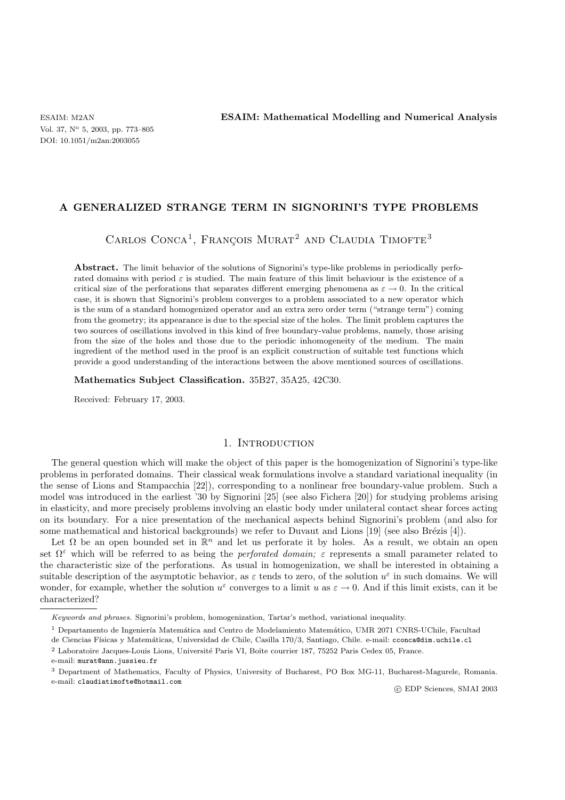## **A GENERALIZED STRANGE TERM IN SIGNORINI'S TYPE PROBLEMS**

CARLOS CONCA<sup>1</sup>, FRANÇOIS MURAT<sup>2</sup> AND CLAUDIA TIMOFTE<sup>3</sup>

**Abstract.** The limit behavior of the solutions of Signorini's type-like problems in periodically perforated domains with period  $\varepsilon$  is studied. The main feature of this limit behaviour is the existence of a critical size of the perforations that separates different emerging phenomena as  $\varepsilon \to 0$ . In the critical case, it is shown that Signorini's problem converges to a problem associated to a new operator which is the sum of a standard homogenized operator and an extra zero order term ("strange term") coming from the geometry; its appearance is due to the special size of the holes. The limit problem captures the two sources of oscillations involved in this kind of free boundary-value problems, namely, those arising from the size of the holes and those due to the periodic inhomogeneity of the medium. The main ingredient of the method used in the proof is an explicit construction of suitable test functions which provide a good understanding of the interactions between the above mentioned sources of oscillations.

**Mathematics Subject Classification.** 35B27, 35A25, 42C30.

Received: February 17, 2003.

## 1. INTRODUCTION

The general question which will make the object of this paper is the homogenization of Signorini's type-like problems in perforated domains. Their classical weak formulations involve a standard variational inequality (in the sense of Lions and Stampacchia [22]), corresponding to a nonlinear free boundary-value problem. Such a model was introduced in the earliest '30 by Signorini [25] (see also Fichera [20]) for studying problems arising in elasticity, and more precisely problems involving an elastic body under unilateral contact shear forces acting on its boundary. For a nice presentation of the mechanical aspects behind Signorini's problem (and also for some mathematical and historical backgrounds) we refer to Duvaut and Lions  $[19]$  (see also Brézis [4]).

Let  $\Omega$  be an open bounded set in  $\mathbb{R}^n$  and let us perforate it by holes. As a result, we obtain an open set  $\Omega^{\varepsilon}$  which will be referred to as being the *perforated domain;*  $\varepsilon$  represents a small parameter related to the characteristic size of the perforations. As usual in homogenization, we shall be interested in obtaining a suitable description of the asymptotic behavior, as  $\varepsilon$  tends to zero, of the solution  $u^{\varepsilon}$  in such domains. We will wonder, for example, whether the solution  $u^{\varepsilon}$  converges to a limit u as  $\varepsilon \to 0$ . And if this limit exists, can it be characterized?

Keywords and phrases. Signorini's problem, homogenization, Tartar's method, variational inequality.

 $1$  Departamento de Ingeniería Matemática and Centro de Modelamiento Matemático, UMR 2071 CNRS-UChile, Facultad

de Ciencias Físicas y Matemáticas, Universidad de Chile, Casilla 170/3, Santiago, Chile. e-mail: cconca@dim.uchile.cl

<sup>&</sup>lt;sup>2</sup> Laboratoire Jacques-Louis Lions, Université Paris VI, Boîte courrier 187, 75252 Paris Cedex 05, France.

e-mail: murat@ann.jussieu.fr

<sup>3</sup> Department of Mathematics, Faculty of Physics, University of Bucharest, PO Box MG-11, Bucharest-Magurele, Romania. e-mail: claudiatimofte@hotmail.com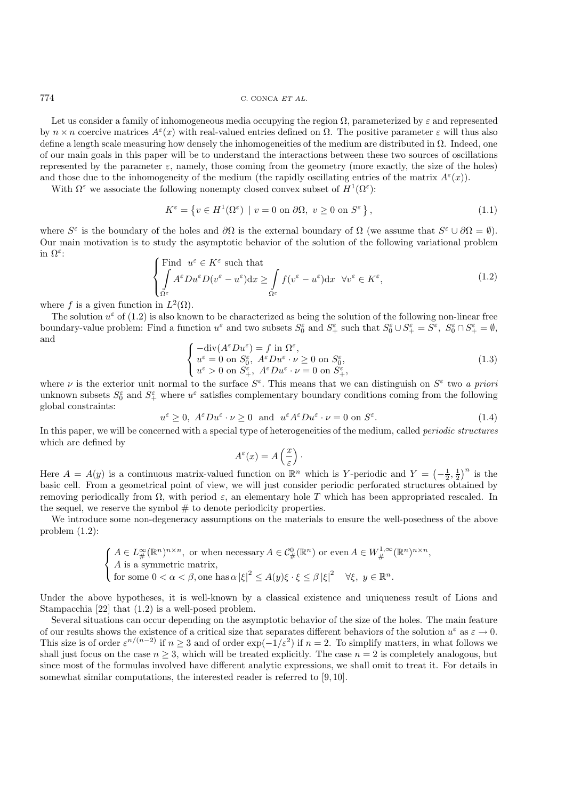774 C. CONCA ET AL.

Let us consider a family of inhomogeneous media occupying the region  $\Omega$ , parameterized by  $\varepsilon$  and represented by  $n \times n$  coercive matrices  $A^{\varepsilon}(x)$  with real-valued entries defined on  $\Omega$ . The positive parameter  $\varepsilon$  will thus also define a length scale measuring how densely the inhomogeneities of the medium are distributed in Ω. Indeed, one of our main goals in this paper will be to understand the interactions between these two sources of oscillations represented by the parameter  $\varepsilon$ , namely, those coming from the geometry (more exactly, the size of the holes) and those due to the inhomogeneity of the medium (the rapidly oscillating entries of the matrix  $A^{\epsilon}(x)$ ).

With  $\Omega^{\varepsilon}$  we associate the following nonempty closed convex subset of  $H^1(\Omega^{\varepsilon})$ :

$$
K^{\varepsilon} = \left\{ v \in H^{1}(\Omega^{\varepsilon}) \mid v = 0 \text{ on } \partial\Omega, \ v \ge 0 \text{ on } S^{\varepsilon} \right\},\tag{1.1}
$$

where  $S^{\varepsilon}$  is the boundary of the holes and  $\partial\Omega$  is the external boundary of  $\Omega$  (we assume that  $S^{\varepsilon} \cup \partial\Omega = \emptyset$ ). Our main motivation is to study the asymptotic behavior of the solution of the following variational problem in  $\Omega^{\varepsilon}$ :

$$
\begin{cases}\n\text{Find } u^{\varepsilon} \in K^{\varepsilon} \text{ such that} \\
\int A^{\varepsilon} Du^{\varepsilon} D(v^{\varepsilon} - u^{\varepsilon}) dx \ge \int_{\Omega^{\varepsilon}} f(v^{\varepsilon} - u^{\varepsilon}) dx \quad \forall v^{\varepsilon} \in K^{\varepsilon},\n\end{cases} (1.2)
$$

where f is a given function in  $L^2(\Omega)$ .

The solution  $u^{\varepsilon}$  of (1.2) is also known to be characterized as being the solution of the following non-linear free boundary-value problem: Find a function  $u^{\varepsilon}$  and two subsets  $S_0^{\varepsilon}$  and  $S_+^{\varepsilon}$  such that  $S_0^{\varepsilon} \cup S_+^{\varepsilon} = S^{\varepsilon}$ ,  $S_0^{\varepsilon} \cap S_+^{\varepsilon} = \emptyset$ , and

$$
\begin{cases}\n-\text{div}(A^{\varepsilon}Du^{\varepsilon}) = f \text{ in } \Omega^{\varepsilon}, \\
u^{\varepsilon} = 0 \text{ on } S_0^{\varepsilon}, \ A^{\varepsilon}Du^{\varepsilon} \cdot \nu \ge 0 \text{ on } S_0^{\varepsilon}, \\
u^{\varepsilon} > 0 \text{ on } S_+^{\varepsilon}, \ A^{\varepsilon}Du^{\varepsilon} \cdot \nu = 0 \text{ on } S_+^{\varepsilon},\n\end{cases} \tag{1.3}
$$

where  $\nu$  is the exterior unit normal to the surface  $S^{\varepsilon}$ . This means that we can distinguish on  $S^{\varepsilon}$  two *a priori* unknown subsets  $S_0^{\varepsilon}$  and  $S_+^{\varepsilon}$  where  $u^{\varepsilon}$  satisfies complementary boundary conditions coming from the following global constraints:

$$
u^{\varepsilon} \ge 0, \ A^{\varepsilon}Du^{\varepsilon} \cdot \nu \ge 0 \ \text{and} \ u^{\varepsilon}A^{\varepsilon}Du^{\varepsilon} \cdot \nu = 0 \text{ on } S^{\varepsilon}. \tag{1.4}
$$

In this paper, we will be concerned with a special type of heterogeneities of the medium, called *periodic structures* which are defined by

$$
A^{\varepsilon}(x) = A\left(\frac{x}{\varepsilon}\right).
$$

Here  $A = A(y)$  is a continuous matrix-valued function on  $\mathbb{R}^n$  which is Y-periodic and  $Y = \left(-\frac{1}{2}, \frac{1}{2}\right)^n$  is the basic cell. From a geometrical point of view, we will just consider periodic perforated structures obtained by removing periodically from  $\Omega$ , with period  $\varepsilon$ , an elementary hole T which has been appropriated rescaled. In the sequel, we reserve the symbol  $#$  to denote periodicity properties.

We introduce some non-degeneracy assumptions on the materials to ensure the well-posedness of the above problem (1.2):

$$
\begin{cases} A \in L^{\infty}_{\#}(\mathbb{R}^n)^{n \times n}, \text{ or when necessary } A \in C^0_{\#}(\mathbb{R}^n) \text{ or even } A \in W^{1,\infty}_{\#}(\mathbb{R}^n)^{n \times n}, \\ A \text{ is a symmetric matrix}, \\ \text{for some } 0 < \alpha < \beta, \text{ one has } \alpha \left| \xi \right|^2 \le A(y)\xi \cdot \xi \le \beta \left| \xi \right|^2 \quad \forall \xi, y \in \mathbb{R}^n. \end{cases}
$$

Under the above hypotheses, it is well-known by a classical existence and uniqueness result of Lions and Stampacchia [22] that (1.2) is a well-posed problem.

Several situations can occur depending on the asymptotic behavior of the size of the holes. The main feature of our results shows the existence of a critical size that separates different behaviors of the solution  $u^{\varepsilon}$  as  $\varepsilon \to 0$ . This size is of order  $\varepsilon^{n/(n-2)}$  if  $n \geq 3$  and of order  $\exp(-1/\varepsilon^2)$  if  $n = 2$ . To simplify matters, in what follows we shall just focus on the case  $n \geq 3$ , which will be treated explicitly. The case  $n = 2$  is completely analogous, but since most of the formulas involved have different analytic expressions, we shall omit to treat it. For details in somewhat similar computations, the interested reader is referred to [9, 10].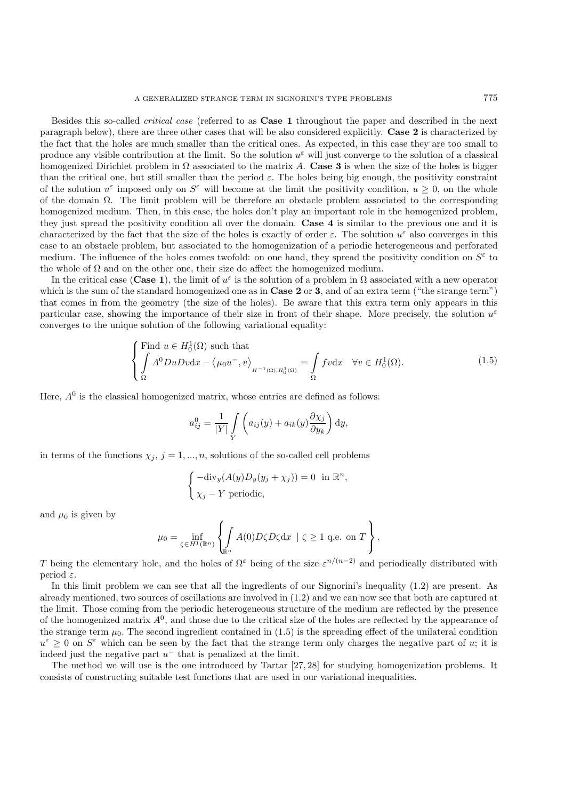Besides this so-called *critical case* (referred to as **Case 1** throughout the paper and described in the next paragraph below), there are three other cases that will be also considered explicitly. **Case 2** is characterized by the fact that the holes are much smaller than the critical ones. As expected, in this case they are too small to produce any visible contribution at the limit. So the solution  $u^{\varepsilon}$  will just converge to the solution of a classical homogenized Dirichlet problem in  $\Omega$  associated to the matrix A. **Case 3** is when the size of the holes is bigger than the critical one, but still smaller than the period  $\varepsilon$ . The holes being big enough, the positivity constraint of the solution  $u^{\varepsilon}$  imposed only on  $S^{\varepsilon}$  will become at the limit the positivity condition,  $u > 0$ , on the whole of the domain Ω. The limit problem will be therefore an obstacle problem associated to the corresponding homogenized medium. Then, in this case, the holes don't play an important role in the homogenized problem, they just spread the positivity condition all over the domain. **Case 4** is similar to the previous one and it is characterized by the fact that the size of the holes is exactly of order  $\varepsilon$ . The solution  $u^{\varepsilon}$  also converges in this case to an obstacle problem, but associated to the homogenization of a periodic heterogeneous and perforated medium. The influence of the holes comes twofold: on one hand, they spread the positivity condition on  $S^{\varepsilon}$  to the whole of  $\Omega$  and on the other one, their size do affect the homogenized medium.

In the critical case (**Case 1**), the limit of  $u^{\varepsilon}$  is the solution of a problem in  $\Omega$  associated with a new operator which is the sum of the standard homogenized one as in **Case 2** or **3**, and of an extra term ("the strange term") that comes in from the geometry (the size of the holes). Be aware that this extra term only appears in this particular case, showing the importance of their size in front of their shape. More precisely, the solution  $u^{\varepsilon}$ converges to the unique solution of the following variational equality:

$$
\begin{cases}\n\text{Find } u \in H_0^1(\Omega) \text{ such that} \\
\int_A A^0 D u D v \, dx - \langle \mu_0 u^-, v \rangle_{H^{-1}(\Omega), H_0^1(\Omega)} = \int_{\Omega} f v \, dx \quad \forall v \in H_0^1(\Omega). \n\end{cases} \tag{1.5}
$$

Here,  $A^0$  is the classical homogenized matrix, whose entries are defined as follows:

$$
a_{ij}^0 = \frac{1}{|Y|} \int\limits_Y \left( a_{ij}(y) + a_{ik}(y) \frac{\partial \chi_j}{\partial y_k} \right) dy,
$$

in terms of the functions  $\chi_j$ ,  $j = 1, ..., n$ , solutions of the so-called cell problems

$$
\begin{cases}\n-\text{div}_y(A(y)D_y(y_j + \chi_j)) = 0 \text{ in } \mathbb{R}^n, \\
\chi_j - Y \text{ periodic,}\n\end{cases}
$$

and  $\mu_0$  is given by

$$
\mu_0 = \inf_{\zeta \in H^1(\mathbb{R}^n)} \left\{ \int_{\mathbb{R}^n} A(0) D\zeta D\zeta \mathrm{d}x \mid \zeta \ge 1 \text{ q.e. on } T \right\},\
$$

T being the elementary hole, and the holes of  $\Omega^{\varepsilon}$  being of the size  $\varepsilon^{n/(n-2)}$  and periodically distributed with period  $\varepsilon$ .

In this limit problem we can see that all the ingredients of our Signorini's inequality (1.2) are present. As already mentioned, two sources of oscillations are involved in (1.2) and we can now see that both are captured at the limit. Those coming from the periodic heterogeneous structure of the medium are reflected by the presence of the homogenized matrix  $A^0$ , and those due to the critical size of the holes are reflected by the appearance of the strange term  $\mu_0$ . The second ingredient contained in (1.5) is the spreading effect of the unilateral condition  $u^{\varepsilon} \geq 0$  on  $S^{\varepsilon}$  which can be seen by the fact that the strange term only charges the negative part of u; it is indeed just the negative part  $u^-$  that is penalized at the limit.

The method we will use is the one introduced by Tartar [27, 28] for studying homogenization problems. It consists of constructing suitable test functions that are used in our variational inequalities.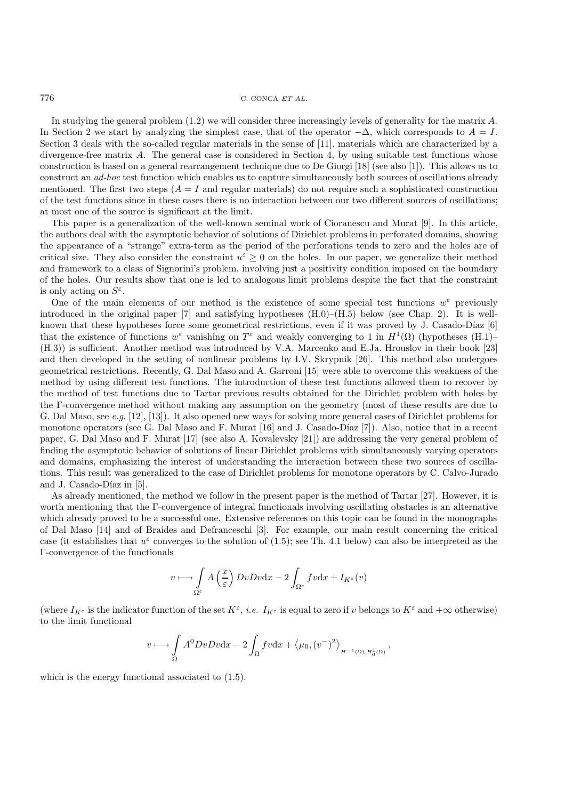In studying the general problem (1.2) we will consider three increasingly levels of generality for the matrix A. In Section 2 we start by analyzing the simplest case, that of the operator  $-\Delta$ , which corresponds to  $A = I$ . Section 3 deals with the so-called regular materials in the sense of [11], materials which are characterized by a divergence-free matrix A. The general case is considered in Section 4, by using suitable test functions whose construction is based on a general rearrangement technique due to De Giorgi [18] (see also [1]). This allows us to construct an *ad-hoc* test function which enables us to capture simultaneously both sources of oscillations already mentioned. The first two steps  $(A = I)$  and regular materials) do not require such a sophisticated construction of the test functions since in these cases there is no interaction between our two different sources of oscillations; at most one of the source is significant at the limit.

This paper is a generalization of the well-known seminal work of Cioranescu and Murat [9]. In this article, the authors deal with the asymptotic behavior of solutions of Dirichlet problems in perforated domains, showing the appearance of a "strange" extra-term as the period of the perforations tends to zero and the holes are of critical size. They also consider the constraint  $u^{\varepsilon} \geq 0$  on the holes. In our paper, we generalize their method and framework to a class of Signorini's problem, involving just a positivity condition imposed on the boundary of the holes. Our results show that one is led to analogous limit problems despite the fact that the constraint is only acting on  $S^{\varepsilon}$ .

One of the main elements of our method is the existence of some special test functions  $w^{\varepsilon}$  previously introduced in the original paper [7] and satisfying hypotheses  $(H.0)$ – $(H.5)$  below (see Chap. 2). It is wellknown that these hypotheses force some geometrical restrictions, even if it was proved by J. Casado-Díaz  $[6]$ that the existence of functions  $w^{\varepsilon}$  vanishing on  $T^{\varepsilon}$  and weakly converging to 1 in  $H^1(\Omega)$  (hypotheses (H.1)– (H.3)) is sufficient. Another method was introduced by V.A. Marcenko and E.Ja. Hrouslov in their book [23] and then developed in the setting of nonlinear problems by I.V. Skrypnik [26]. This method also undergoes geometrical restrictions. Recently, G. Dal Maso and A. Garroni [15] were able to overcome this weakness of the method by using different test functions. The introduction of these test functions allowed them to recover by the method of test functions due to Tartar previous results obtained for the Dirichlet problem with holes by the Γ-convergence method without making any assumption on the geometry (most of these results are due to G. Dal Maso, see *e.g.* [12], [13]). It also opened new ways for solving more general cases of Dirichlet problems for monotone operators (see G. Dal Maso and F. Murat [16] and J. Casado-Díaz [7]). Also, notice that in a recent paper, G. Dal Maso and F. Murat [17] (see also A. Kovalevsky [21]) are addressing the very general problem of finding the asymptotic behavior of solutions of linear Dirichlet problems with simultaneously varying operators and domains, emphasizing the interest of understanding the interaction between these two sources of oscillations. This result was generalized to the case of Dirichlet problems for monotone operators by C. Calvo-Jurado and J. Casado-Díaz in [5].

As already mentioned, the method we follow in the present paper is the method of Tartar [27]. However, it is worth mentioning that the Γ-convergence of integral functionals involving oscillating obstacles is an alternative which already proved to be a successful one. Extensive references on this topic can be found in the monographs of Dal Maso [14] and of Braides and Defranceschi [3]. For example, our main result concerning the critical case (it establishes that  $u^{\varepsilon}$  converges to the solution of (1.5); see Th. 4.1 below) can also be interpreted as the Γ-convergence of the functionals

$$
v \longmapsto \int\limits_{\Omega^\varepsilon} A\left(\frac{x}{\varepsilon}\right) DvDv \mathrm{d}x - 2 \int_{\Omega^\varepsilon} fv \mathrm{d}x + I_{K^\varepsilon}(v)
$$

(where  $I_{K^{\varepsilon}}$  is the indicator function of the set  $K^{\varepsilon}$ , *i.e.*  $I_{K^{\varepsilon}}$  is equal to zero if v belongs to  $K^{\varepsilon}$  and  $+\infty$  otherwise) to the limit functional

$$
v \longmapsto \int_{\Omega} A^0 Dv Dv \mathrm{d}x - 2 \int_{\Omega} fv \mathrm{d}x + \langle \mu_0, (v^-)^2 \rangle_{H^{-1}(\Omega), H_0^1(\Omega)}
$$

,

which is the energy functional associated to (1.5).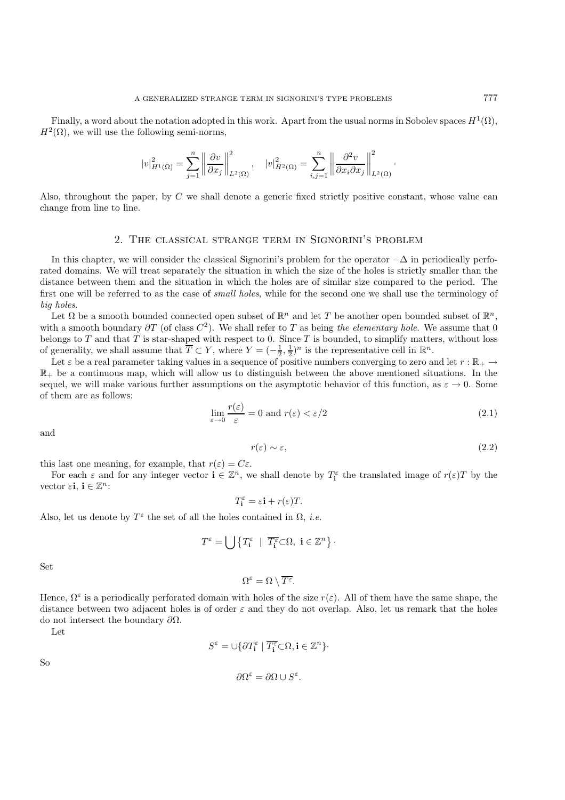Finally, a word about the notation adopted in this work. Apart from the usual norms in Sobolev spaces  $H^1(\Omega)$ ,  $H^2(\Omega)$ , we will use the following semi-norms,

$$
|v|_{H^1(\Omega)}^2 = \sum_{j=1}^n \left\| \frac{\partial v}{\partial x_j} \right\|_{L^2(\Omega)}^2, \quad |v|_{H^2(\Omega)}^2 = \sum_{i,j=1}^n \left\| \frac{\partial^2 v}{\partial x_i \partial x_j} \right\|_{L^2(\Omega)}^2
$$

Also, throughout the paper, by C we shall denote a generic fixed strictly positive constant, whose value can change from line to line.

### 2. The classical strange term in Signorini's problem

In this chapter, we will consider the classical Signorini's problem for the operator  $-\Delta$  in periodically perforated domains. We will treat separately the situation in which the size of the holes is strictly smaller than the distance between them and the situation in which the holes are of similar size compared to the period. The first one will be referred to as the case of *small holes*, while for the second one we shall use the terminology of *big holes*.

Let  $\Omega$  be a smooth bounded connected open subset of  $\mathbb{R}^n$  and let T be another open bounded subset of  $\mathbb{R}^n$ , with a smooth boundary  $\partial T$  (of class  $C^2$ ). We shall refer to T as being the elementary hole. We assume that 0 belongs to  $T$  and that  $T$  is star-shaped with respect to 0. Since  $T$  is bounded, to simplify matters, without loss of generality, we shall assume that  $\overline{T} \subset Y$ , where  $Y = (-\frac{1}{2}, \frac{1}{2})^n$  is the representative cell in  $\mathbb{R}^n$ .

Let  $\varepsilon$  be a real parameter taking values in a sequence of positive numbers converging to zero and let  $r : \mathbb{R}_+ \to$  $\mathbb{R}_+$  be a continuous map, which will allow us to distinguish between the above mentioned situations. In the sequel, we will make various further assumptions on the asymptotic behavior of this function, as  $\varepsilon \to 0$ . Some of them are as follows:

$$
\lim_{\varepsilon \to 0} \frac{r(\varepsilon)}{\varepsilon} = 0 \text{ and } r(\varepsilon) < \varepsilon/2 \tag{2.1}
$$

and

$$
r(\varepsilon) \sim \varepsilon,\tag{2.2}
$$

·

this last one meaning, for example, that  $r(\varepsilon) = C\varepsilon$ .

For each  $\varepsilon$  and for any integer vector  $\mathbf{i} \in \mathbb{Z}^n$ , we shall denote by  $T_{\mathbf{i}}^{\varepsilon}$  the translated image of  $r(\varepsilon)T$  by the vector  $\varepsilon$ **i**,  $\mathbf{i} \in \mathbb{Z}^n$ :

$$
T_{\mathbf{i}}^{\varepsilon} = \varepsilon \mathbf{i} + r(\varepsilon)T.
$$

Also, let us denote by  $T^{\varepsilon}$  the set of all the holes contained in  $\Omega$ , *i.e.* 

$$
T^{\varepsilon} = \bigcup \left\{ T_i^{\varepsilon} \mid \overline{T_i^{\varepsilon}} \subset \Omega, \ i \in \mathbb{Z}^n \right\} \cdot
$$

Set

$$
\Omega^{\varepsilon} = \Omega \setminus \overline{T^{\varepsilon}}.
$$

Hence,  $\Omega^{\varepsilon}$  is a periodically perforated domain with holes of the size  $r(\varepsilon)$ . All of them have the same shape, the distance between two adjacent holes is of order  $\varepsilon$  and they do not overlap. Also, let us remark that the holes do not intersect the boundary  $\partial Ω$ .

Let

So

$$
S^{\varepsilon} = \cup \{ \partial T_{\mathbf{i}}^{\varepsilon} \mid \overline{T_{\mathbf{i}}^{\varepsilon}} \subset \Omega, \mathbf{i} \in \mathbb{Z}^n \}.
$$

$$
\partial \Omega^\varepsilon = \partial \Omega \cup S^\varepsilon.
$$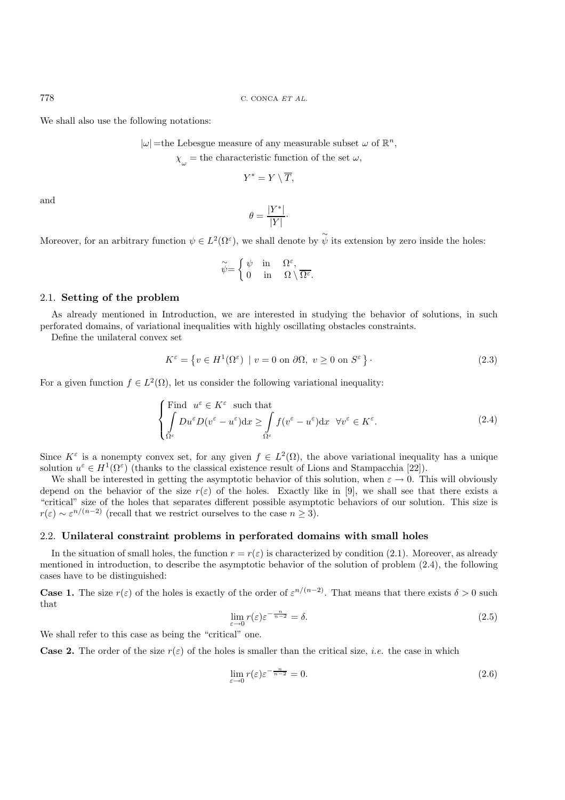778 C. CONCA ET AL.

We shall also use the following notations:

 $|\omega|$ =the Lebesgue measure of any measurable subset  $\omega$  of  $\mathbb{R}^n$ ,

 $\chi_{\mu}$  = the characteristic function of the set  $\omega$ ,

$$
Y^* = Y \setminus \overline{T},
$$

and

$$
\theta = \frac{|Y^*|}{|Y|}.
$$

Moreover, for an arbitrary function  $\psi \in L^2(\Omega^{\varepsilon})$ , we shall denote by  $\widetilde{\psi}$  its extension by zero inside the holes:

$$
\widetilde{\psi} = \begin{cases} \psi & \text{in} \quad \Omega^{\varepsilon}, \\ 0 & \text{in} \quad \Omega \setminus \overline{\Omega^{\varepsilon}}. \end{cases}
$$

## 2.1. **Setting of the problem**

As already mentioned in Introduction, we are interested in studying the behavior of solutions, in such perforated domains, of variational inequalities with highly oscillating obstacles constraints.

Define the unilateral convex set

$$
K^{\varepsilon} = \{ v \in H^{1}(\Omega^{\varepsilon}) \mid v = 0 \text{ on } \partial\Omega, v \ge 0 \text{ on } S^{\varepsilon} \}.
$$
\n(2.3)

For a given function  $f \in L^2(\Omega)$ , let us consider the following variational inequality:

$$
\begin{cases}\n\text{Find } u^{\varepsilon} \in K^{\varepsilon} \text{ such that} \\
\int_{\Omega^{\varepsilon}} Du^{\varepsilon} D(v^{\varepsilon} - u^{\varepsilon}) dx \ge \int_{\Omega^{\varepsilon}} f(v^{\varepsilon} - u^{\varepsilon}) dx \quad \forall v^{\varepsilon} \in K^{\varepsilon}.\n\end{cases} (2.4)
$$

Since  $K^{\varepsilon}$  is a nonempty convex set, for any given  $f \in L^{2}(\Omega)$ , the above variational inequality has a unique solution  $u^{\varepsilon} \in H^1(\Omega^{\varepsilon})$  (thanks to the classical existence result of Lions and Stampacchia [22]).

We shall be interested in getting the asymptotic behavior of this solution, when  $\varepsilon \to 0$ . This will obviously depend on the behavior of the size  $r(\varepsilon)$  of the holes. Exactly like in [9], we shall see that there exists a "critical" size of the holes that separates different possible asymptotic behaviors of our solution. This size is  $r(\varepsilon) \sim \varepsilon^{n/(n-2)}$  (recall that we restrict ourselves to the case  $n \geq 3$ ).

#### 2.2. **Unilateral constraint problems in perforated domains with small holes**

In the situation of small holes, the function  $r = r(\varepsilon)$  is characterized by condition (2.1). Moreover, as already mentioned in introduction, to describe the asymptotic behavior of the solution of problem (2.4), the following cases have to be distinguished:

**Case 1.** The size  $r(\varepsilon)$  of the holes is exactly of the order of  $\varepsilon^{n/(n-2)}$ . That means that there exists  $\delta > 0$  such that

$$
\lim_{\varepsilon \to 0} r(\varepsilon) \varepsilon^{-\frac{n}{n-2}} = \delta. \tag{2.5}
$$

We shall refer to this case as being the "critical" one.

**Case 2.** The order of the size  $r(\varepsilon)$  of the holes is smaller than the critical size, *i.e.* the case in which

$$
\lim_{\varepsilon \to 0} r(\varepsilon) \varepsilon^{-\frac{n}{n-2}} = 0. \tag{2.6}
$$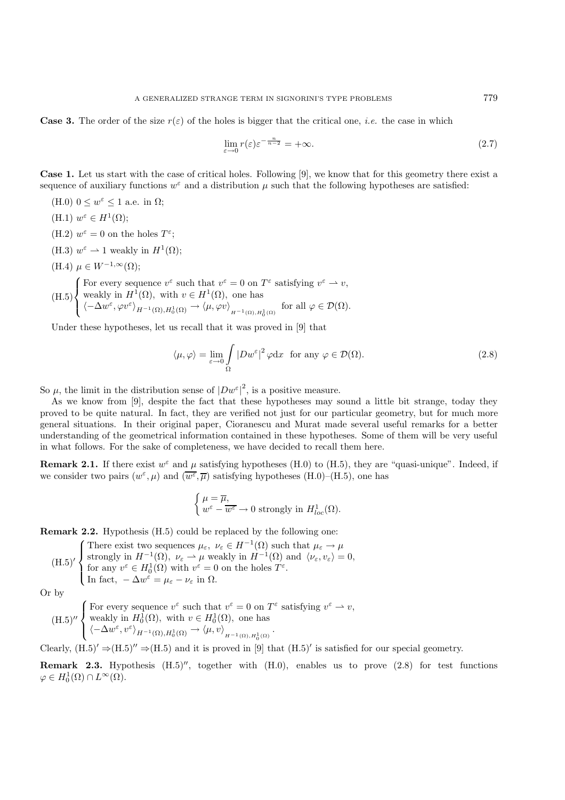**Case 3.** The order of the size  $r(\varepsilon)$  of the holes is bigger that the critical one, *i.e.* the case in which

$$
\lim_{\varepsilon \to 0} r(\varepsilon) \varepsilon^{-\frac{n}{n-2}} = +\infty. \tag{2.7}
$$

**Case 1.** Let us start with the case of critical holes. Following [9], we know that for this geometry there exist a sequence of auxiliary functions  $w^{\varepsilon}$  and a distribution  $\mu$  such that the following hypotheses are satisfied:

- (H.0)  $0 \leq w^{\varepsilon} \leq 1$  a.e. in  $\Omega$ ; (H.1)  $w^{\varepsilon} \in H^1(\Omega)$ ;
- (H.2)  $w^{\varepsilon} = 0$  on the holes  $T^{\varepsilon}$ ;
- (H.3)  $w^{\varepsilon} \rightharpoonup 1$  weakly in  $H^1(\Omega)$ ;
- (H.4)  $\mu \in W^{-1,\infty}(\Omega)$ ;

(H.5)  $\sqrt{ }$  $\int$  $\overline{\mathcal{L}}$ For every sequence  $v^{\varepsilon}$  such that  $v^{\varepsilon} = 0$  on  $T^{\varepsilon}$  satisfying  $v^{\varepsilon} \to v$ , weakly in  $H^1(\Omega)$ , with  $v \in H^1(\Omega)$ , one has  $\langle -\Delta w^{\varepsilon}, \varphi v^{\varepsilon} \rangle_{H^{-1}(\Omega), H_0^1(\Omega)} \to \langle \mu, \varphi v \rangle_{H^{-1}(\Omega), H_0^1(\Omega)} \text{ for all } \varphi \in \mathcal{D}(\Omega).$ 

Under these hypotheses, let us recall that it was proved in [9] that

$$
\langle \mu, \varphi \rangle = \lim_{\varepsilon \to 0} \int_{\Omega} |Dw^{\varepsilon}|^2 \varphi dx \text{ for any } \varphi \in \mathcal{D}(\Omega). \tag{2.8}
$$

So  $\mu$ , the limit in the distribution sense of  $|Dw^{\varepsilon}|^2$ , is a positive measure.

As we know from [9], despite the fact that these hypotheses may sound a little bit strange, today they proved to be quite natural. In fact, they are verified not just for our particular geometry, but for much more general situations. In their original paper, Cioranescu and Murat made several useful remarks for a better understanding of the geometrical information contained in these hypotheses. Some of them will be very useful in what follows. For the sake of completeness, we have decided to recall them here.

**Remark 2.1.** If there exist  $w^{\varepsilon}$  and  $\mu$  satisfying hypotheses (H.0) to (H.5), they are "quasi-unique". Indeed, if we consider two pairs  $(w^{\varepsilon}, \mu)$  and  $(\overline{w^{\varepsilon}}, \overline{\mu})$  satisfying hypotheses (H.0)–(H.5), one has

$$
\left\{ \begin{aligned} & \mu = \overline{\mu}, \\ & w^{\varepsilon} - \overline{w^{\varepsilon}} \rightarrow 0 \text{ strongly in } H^1_{loc}(\Omega). \end{aligned} \right.
$$

**Remark 2.2.** Hypothesis (H.5) could be replaced by the following one:

(H.5)' {There exist two sequences 
$$
\mu_{\varepsilon}, \nu_{\varepsilon} \in H^{-1}(\Omega)
$$
 such that  $\mu_{\varepsilon} \to \mu$   
strongly in  $H^{-1}(\Omega), \nu_{\varepsilon} \to \mu$  weakly in  $H^{-1}(\Omega)$  and  $\langle \nu_{\varepsilon}, \nu_{\varepsilon} \rangle = 0$ ,  
for any  $v^{\varepsilon} \in H_0^1(\Omega)$  with  $v^{\varepsilon} = 0$  on the holes  $T^{\varepsilon}$ .  
In fact,  $-\Delta w^{\varepsilon} = \mu_{\varepsilon} - \nu_{\varepsilon}$  in  $\Omega$ .

Or by

 $(H.5)''$  $\sqrt{ }$  $\int$  $\overline{\mathcal{L}}$ For every sequence  $v^{\varepsilon}$  such that  $v^{\varepsilon} = 0$  on  $T^{\varepsilon}$  satisfying  $v^{\varepsilon} \to v$ , weakly in  $H_0^1(\Omega)$ , with  $v \in H_0^1(\Omega)$ , one has  $\langle -\Delta w^{\varepsilon}, v^{\varepsilon} \rangle_{H^{-1}(\Omega), H_0^1(\Omega)} \to \langle \mu, v \rangle_{H^{-1}(\Omega), H_0^1(\Omega)}.$ 

Clearly,  $(H.5)' \Rightarrow (H.5)'' \Rightarrow (H.5)$  and it is proved in [9] that  $(H.5)'$  is satisfied for our special geometry.

**Remark 2.3.** Hypothesis  $(H.5)''$ , together with  $(H.0)$ , enables us to prove  $(2.8)$  for test functions  $\varphi \in H_0^1(\Omega) \cap L^\infty(\Omega).$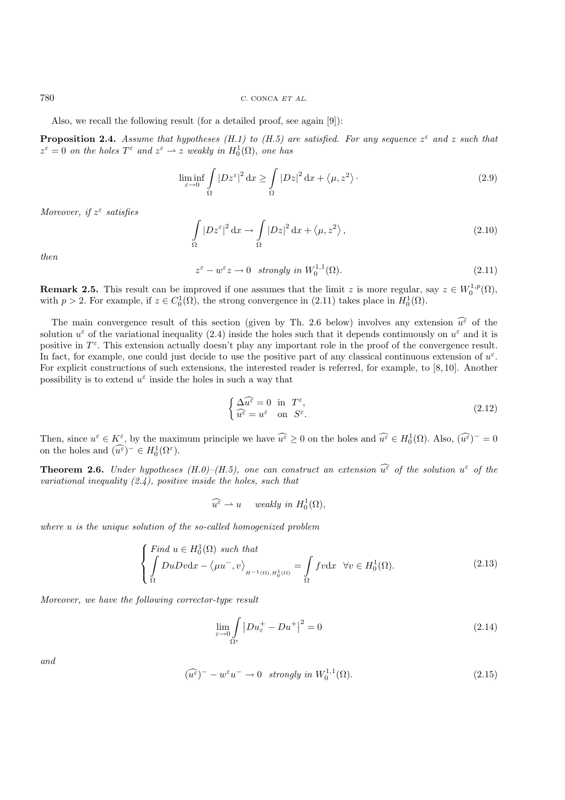780 C. CONCA ET AL.

Also, we recall the following result (for a detailed proof, see again [9]):

**Proposition 2.4.** *Assume that hypotheses (H.1) to (H.5) are satisfied. For any sequence*  $z^{\epsilon}$  *and* z *such that*  $z^{\varepsilon} = 0$  *on the holes*  $T^{\varepsilon}$  *and*  $z^{\varepsilon} \to z$  *weakly in*  $H_0^1(\Omega)$ *, one has* 

$$
\liminf_{\varepsilon \to 0} \int_{\Omega} |Dz^{\varepsilon}|^2 dx \ge \int_{\Omega} |Dz|^2 dx + \langle \mu, z^2 \rangle.
$$
 (2.9)

*Moreover, if* z<sup>ε</sup> *satisfies*

$$
\int_{\Omega} |Dz^{\varepsilon}|^2 dx \to \int_{\Omega} |Dz|^2 dx + \langle \mu, z^2 \rangle, \qquad (2.10)
$$

*then*

$$
z^{\varepsilon} - w^{\varepsilon} z \to 0 \quad strongly \ in \ W_0^{1,1}(\Omega). \tag{2.11}
$$

**Remark 2.5.** This result can be improved if one assumes that the limit z is more regular, say  $z \in W_0^{1,p}(\Omega)$ , with  $p > 2$ . For example, if  $z \in C_0^1(\Omega)$ , the strong convergence in (2.11) takes place in  $H_0^1(\Omega)$ .

The main convergence result of this section (given by Th. 2.6 below) involves any extension  $\widehat{u^{\varepsilon}}$  of the solution  $u^{\varepsilon}$  of the variational inequality (2.4) inside the holes such that it depends continuously on  $u^{\varepsilon}$  and it is positive in  $T^{\varepsilon}$ . This extension actually doesn't play any important role in the proof of the convergence result. In fact, for example, one could just decide to use the positive part of any classical continuous extension of  $u^{\varepsilon}$ . For explicit constructions of such extensions, the interested reader is referred, for example, to [8, 10]. Another possibility is to extend  $u^{\varepsilon}$  inside the holes in such a way that

$$
\begin{cases} \Delta \widehat{u^{\varepsilon}} = 0 \quad \text{in} \quad T^{\varepsilon}, \\ \widehat{u^{\varepsilon}} = u^{\varepsilon} \quad \text{on} \quad S^{\varepsilon}. \end{cases} \tag{2.12}
$$

Then, since  $u^{\varepsilon} \in K^{\varepsilon}$ , by the maximum principle we have  $\widehat{u^{\varepsilon}} \geq 0$  on the holes and  $\widehat{u^{\varepsilon}} \in H_0^1(\Omega)$ . Also,  $(\widehat{u^{\varepsilon}})^{-} = 0$ on the holes and  $(\widehat{u^{\varepsilon}})^{-} \in H_0^1(\Omega^{\varepsilon}).$ 

**Theorem 2.6.** *Under hypotheses*  $(H.0)$ – $(H.5)$ , one can construct an extension  $\widehat{u^{\varepsilon}}$  of the solution  $u^{\varepsilon}$  of the solution  $u^{\varepsilon}$  of the solution *variational inequality (2.4), positive inside the holes, such that*

$$
\widehat{u^{\varepsilon}} \rightharpoonup u \quad \text{ weakly in } H_0^1(\Omega),
$$

*where* u *is the unique solution of the so-called homogenized problem*

$$
\begin{cases}\n\text{Find } u \in H_0^1(\Omega) \text{ such that} \\
\int \mathcal{D}u \mathcal{D}v \, \mathrm{d}x - \langle \mu u^-, v \rangle_{H^{-1}(\Omega), H_0^1(\Omega)} = \int \limits_{\Omega} f v \, \mathrm{d}x \quad \forall v \in H_0^1(\Omega). \n\end{cases} \tag{2.13}
$$

*Moreover, we have the following corrector-type result*

$$
\lim_{\varepsilon \to 0} \int_{\Omega^{\varepsilon}} |Du_{\varepsilon}^{+} - Du^{+}|^{2} = 0 \tag{2.14}
$$

*and*

$$
(\widehat{u^{\varepsilon}})^{-} - w^{\varepsilon} u^{-} \to 0 \quad strongly \ in \ W_{0}^{1,1}(\Omega). \tag{2.15}
$$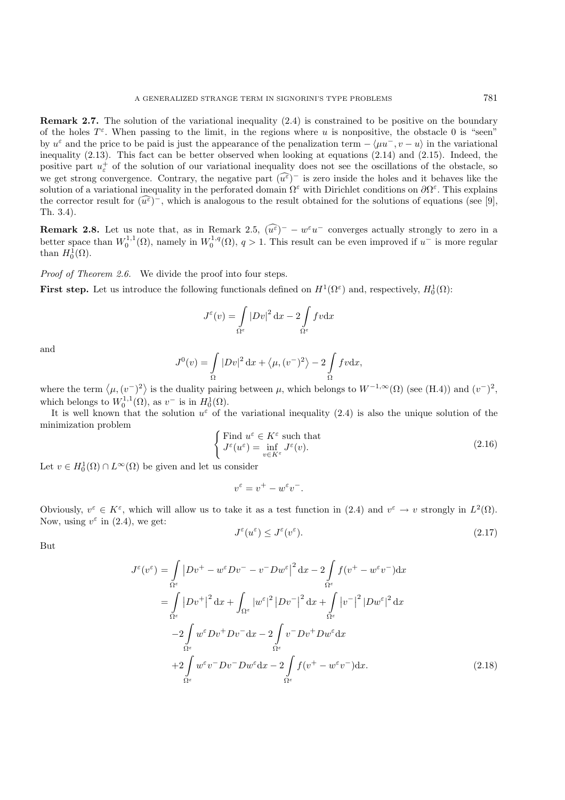**Remark 2.7.** The solution of the variational inequality (2.4) is constrained to be positive on the boundary of the holes  $T^{\varepsilon}$ . When passing to the limit, in the regions where u is nonpositive, the obstacle 0 is "seen" by  $u^{\varepsilon}$  and the price to be paid is just the appearance of the penalization term  $-\langle \mu u^-, v - u \rangle$  in the variational inequality (2.13). This fact can be better observed when looking at equations (2.14) and (2.15). Indeed, the positive part  $u_{\varepsilon}^+$  of the solution of our variational inequality does not see the oscillations of the obstacle, so we get strong convergence. Contrary, the negative part  $(\widehat{u^{\varepsilon}})^-$  is zero inside the holes and it behaves like the solution of a variational inequality in the perforated domain  $\Omega^{\varepsilon}$  with Dirichlet conditions on  $\partial\Omega^{\varepsilon}$ . This explains the corrector result for  $(u^{\varepsilon})^-$ , which is analogous to the result obtained for the solutions of equations (see [9], Th. 3.4).

**Remark 2.8.** Let us note that, as in Remark 2.5,  $(\widehat{u^{\varepsilon}})^{-} - w^{\varepsilon}u^{-}$  converges actually strongly to zero in a better space than  $W_0^{1,1}(\Omega)$ , namely in  $W_0^{1,q}(\Omega)$ ,  $q > 1$ . This result can be even improved if  $u^-$  is more regular than  $H_0^1(\Omega)$ .

*Proof of Theorem 2.6.* We divide the proof into four steps.

**First step.** Let us introduce the following functionals defined on  $H^1(\Omega^{\varepsilon})$  and, respectively,  $H_0^1(\Omega)$ :

$$
J^{\varepsilon}(v) = \int\limits_{\Omega^{\varepsilon}} |Dv|^2 \, \mathrm{d}x - 2 \int\limits_{\Omega^{\varepsilon}} f v \, \mathrm{d}x
$$

and

$$
J^{0}(v) = \int_{\Omega} |Dv|^{2} dx + \langle \mu, (v^{-})^{2} \rangle - 2 \int_{\Omega} fv dx,
$$

where the term  $\langle \mu, (v^-)^2 \rangle$  is the duality pairing between  $\mu$ , which belongs to  $W^{-1,\infty}(\Omega)$  (see (H.4)) and  $(v^-)^2$ , which belongs to  $W_0^{1,1}(\Omega)$ , as  $v^-$  is in  $H_0^1(\Omega)$ .

It is well known that the solution  $u^{\varepsilon}$  of the variational inequality (2.4) is also the unique solution of the minimization problem

$$
\begin{cases}\n\text{Find } u^{\varepsilon} \in K^{\varepsilon} \text{ such that} \\
J^{\varepsilon}(u^{\varepsilon}) = \inf_{v \in K^{\varepsilon}} J^{\varepsilon}(v). \n\end{cases} \tag{2.16}
$$

Let  $v \in H_0^1(\Omega) \cap L^\infty(\Omega)$  be given and let us consider

$$
v^{\varepsilon} = v^{+} - w^{\varepsilon}v^{-}.
$$

Obviously,  $v^{\varepsilon} \in K^{\varepsilon}$ , which will allow us to take it as a test function in (2.4) and  $v^{\varepsilon} \to v$  strongly in  $L^2(\Omega)$ . Now, using  $v^{\varepsilon}$  in (2.4), we get:

$$
J^{\varepsilon}(u^{\varepsilon}) \le J^{\varepsilon}(v^{\varepsilon}).\tag{2.17}
$$

But

$$
J^{\varepsilon}(v^{\varepsilon}) = \int_{\Omega^{\varepsilon}} |Dv^{+} - w^{\varepsilon} Dv^{-} - v^{-} Dw^{\varepsilon}|^{2} dx - 2 \int_{\Omega^{\varepsilon}} f(v^{+} - w^{\varepsilon} v^{-}) dx
$$
  
\n
$$
= \int_{\Omega^{\varepsilon}} |Dv^{+}|^{2} dx + \int_{\Omega^{\varepsilon}} |w^{\varepsilon}|^{2} |Dv^{-}|^{2} dx + \int_{\Omega^{\varepsilon}} |v^{-}|^{2} |Dw^{\varepsilon}|^{2} dx
$$
  
\n
$$
-2 \int_{\Omega^{\varepsilon}} w^{\varepsilon} Dv^{+} Dv^{-} dx - 2 \int_{\Omega^{\varepsilon}} v^{-} Dv^{+} Dw^{\varepsilon} dx
$$
  
\n
$$
+2 \int_{\Omega^{\varepsilon}} w^{\varepsilon} v^{-} Dv^{-} Dw^{\varepsilon} dx - 2 \int_{\Omega^{\varepsilon}} f(v^{+} - w^{\varepsilon} v^{-}) dx.
$$
 (2.18)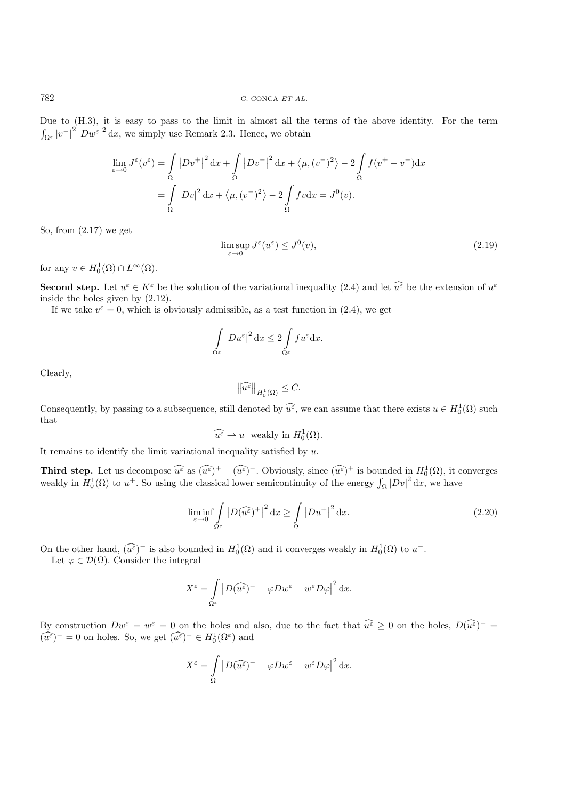Due to (H.3), it is easy to pass to the limit in almost all the terms of the above identity. For the term  $\int_{\Omega^{\varepsilon}} |v^{-}|^{2} |D w^{\varepsilon}|^{2} dx$ , we simply use Remark 2.3. Hence, we obtain

$$
\lim_{\varepsilon \to 0} J^{\varepsilon}(v^{\varepsilon}) = \int_{\Omega} |Dv^{+}|^{2} dx + \int_{\Omega} |Dv^{-}|^{2} dx + \langle \mu, (v^{-})^{2} \rangle - 2 \int_{\Omega} f(v^{+} - v^{-}) dx
$$

$$
= \int_{\Omega} |Dv|^{2} dx + \langle \mu, (v^{-})^{2} \rangle - 2 \int_{\Omega} fv dx = J^{0}(v).
$$

So, from (2.17) we get

$$
\limsup_{\varepsilon \to 0} J^{\varepsilon}(u^{\varepsilon}) \leq J^{0}(v),\tag{2.19}
$$

for any  $v \in H_0^1(\Omega) \cap L^\infty(\Omega)$ .

**Second step.** Let  $u^{\varepsilon} \in K^{\varepsilon}$  be the solution of the variational inequality (2.4) and let  $\widehat{u^{\varepsilon}}$  be the extension of  $u^{\varepsilon}$ inside the holes given by (2.12).

If we take  $v^{\varepsilon} = 0$ , which is obviously admissible, as a test function in (2.4), we get

$$
\int_{\Omega^{\varepsilon}} |Du^{\varepsilon}|^2 dx \le 2 \int_{\Omega^{\varepsilon}} f u^{\varepsilon} dx.
$$

Clearly,

$$
\left\|\widehat{u^{\varepsilon}}\right\|_{H_0^1(\Omega)} \leq C.
$$

Consequently, by passing to a subsequence, still denoted by  $\widehat{u^{\varepsilon}}$ , we can assume that there exists  $u \in H_0^1(\Omega)$  such that

$$
\widehat{u^{\varepsilon}} \rightharpoonup u \quad \text{weakly in } H_0^1(\Omega).
$$

It remains to identify the limit variational inequality satisfied by  $u$ .

**Third step.** Let us decompose  $\widehat{u^{\varepsilon}}$  as  $(\widehat{u^{\varepsilon}})^+ - (\widehat{u^{\varepsilon}})^-$ . Obviously, since  $(\widehat{u^{\varepsilon}})^+$  is bounded in  $H_0^1(\Omega)$ , it converges weakly in  $H_0^1(\Omega)$  to  $u^+$ . So using the classical lower semicontinuity of the energy  $\int_{\Omega} |Dv|^2 dx$ , we have

$$
\liminf_{\varepsilon \to 0} \int_{\Omega^{\varepsilon}} \left| D(\widehat{u^{\varepsilon}})^{+} \right|^{2} \mathrm{d}x \ge \int_{\Omega} \left| Du^{+} \right|^{2} \mathrm{d}x. \tag{2.20}
$$

On the other hand,  $(\widehat{u^{\varepsilon}})^-$  is also bounded in  $H_0^1(\Omega)$  and it converges weakly in  $H_0^1(\Omega)$  to  $u^-$ .

Let  $\varphi \in \mathcal{D}(\Omega)$ . Consider the integral

$$
X^{\varepsilon} = \int\limits_{\Omega^{\varepsilon}} \left| D(\widehat{u^{\varepsilon}})^{-} - \varphi Dw^{\varepsilon} - w^{\varepsilon} D\varphi \right|^{2} dx.
$$

By construction  $Dw^{\varepsilon} = w^{\varepsilon} = 0$  on the holes and also, due to the fact that  $\widehat{u^{\varepsilon}} \geq 0$  on the holes,  $D(\widehat{u^{\varepsilon}})^{-} =$  $(\widehat{u^{\varepsilon}})^{-} = 0$  on holes. So, we get  $(\widehat{u^{\varepsilon}})^{-} \in H_0^1(\Omega^{\varepsilon})$  and

$$
X^{\varepsilon} = \int_{\Omega} \left| D(\widehat{u^{\varepsilon}})^{-} - \varphi Dw^{\varepsilon} - w^{\varepsilon} D\varphi \right|^{2} dx.
$$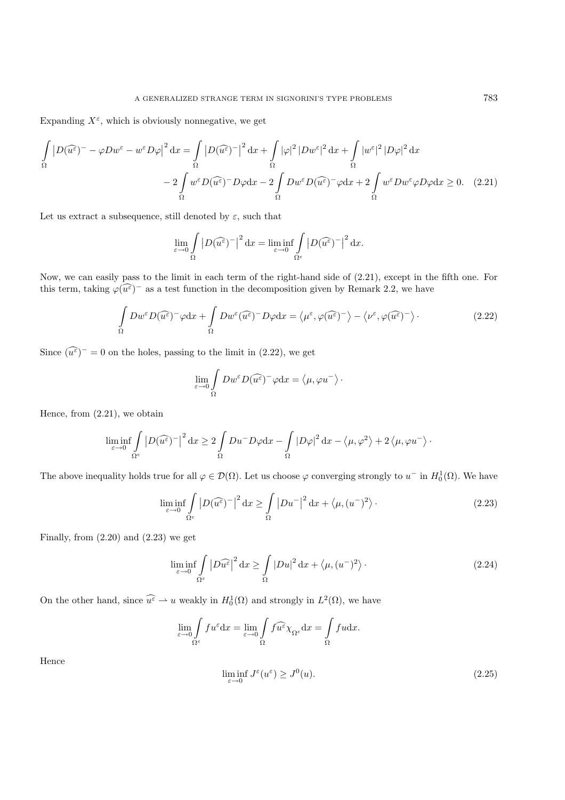Expanding  $X^{\varepsilon}$ , which is obviously nonnegative, we get

$$
\int_{\Omega} \left| D(\widehat{u^{\varepsilon}})^{-} - \varphi Dw^{\varepsilon} - w^{\varepsilon}D\varphi \right|^{2} dx = \int_{\Omega} \left| D(\widehat{u^{\varepsilon}})^{-} \right|^{2} dx + \int_{\Omega} |\varphi|^{2} |Dw^{\varepsilon}|^{2} dx + \int_{\Omega} |w^{\varepsilon}|^{2} |D\varphi|^{2} dx
$$

$$
- 2 \int_{\Omega} w^{\varepsilon} D(\widehat{u^{\varepsilon}})^{-} D\varphi dx - 2 \int_{\Omega} Dw^{\varepsilon} D(\widehat{u^{\varepsilon}})^{-} \varphi dx + 2 \int_{\Omega} w^{\varepsilon} Dw^{\varepsilon} \varphi D\varphi dx \ge 0. \quad (2.21)
$$

Let us extract a subsequence, still denoted by  $\varepsilon$ , such that

$$
\lim_{\varepsilon \to 0} \int_{\Omega} \left| D(\widehat{u^{\varepsilon}})^{-} \right|^{2} dx = \liminf_{\varepsilon \to 0} \int_{\Omega^{\varepsilon}} \left| D(\widehat{u^{\varepsilon}})^{-} \right|^{2} dx.
$$

Now, we can easily pass to the limit in each term of the right-hand side of (2.21), except in the fifth one. For this term, taking  $\varphi(\widehat{u^{\varepsilon}})^{-}$  as a test function in the decomposition given by Remark 2.2, we have

$$
\int_{\Omega} Dw^{\varepsilon} D(\widehat{u^{\varepsilon}})^{-} \varphi dx + \int_{\Omega} Dw^{\varepsilon} (\widehat{u^{\varepsilon}})^{-} D \varphi dx = \langle \mu^{\varepsilon}, \varphi(\widehat{u^{\varepsilon}})^{-} \rangle - \langle \nu^{\varepsilon}, \varphi(\widehat{u^{\varepsilon}})^{-} \rangle. \tag{2.22}
$$

Since  $(\widehat{u^{\varepsilon}})^{-} = 0$  on the holes, passing to the limit in (2.22), we get

$$
\lim_{\varepsilon \to 0} \int_{\Omega} Dw^{\varepsilon} D(\widehat{u^{\varepsilon}})^{-} \varphi dx = \langle \mu, \varphi u^{-} \rangle.
$$

Hence, from (2.21), we obtain

$$
\liminf_{\varepsilon \to 0} \int_{\Omega^{\varepsilon}} \left| D(\widehat{u^{\varepsilon}})^{-} \right|^2 \mathrm{d}x \geq 2 \int_{\Omega} Du^{-} D\varphi \mathrm{d}x - \int_{\Omega} \left| D\varphi \right|^2 \mathrm{d}x - \langle \mu, \varphi^2 \rangle + 2 \langle \mu, \varphi u^{-} \rangle.
$$

The above inequality holds true for all  $\varphi \in \mathcal{D}(\Omega)$ . Let us choose  $\varphi$  converging strongly to  $u^-$  in  $H_0^1(\Omega)$ . We have

$$
\liminf_{\varepsilon \to 0} \int_{\Omega^{\varepsilon}} |D(\widehat{u^{\varepsilon}})^{-}|^{2} dx \ge \int_{\Omega} |Du^{-}|^{2} dx + \langle \mu, (u^{-})^{2} \rangle. \tag{2.23}
$$

Finally, from  $(2.20)$  and  $(2.23)$  we get

$$
\liminf_{\varepsilon \to 0} \int_{\Omega^{\varepsilon}} |D\widehat{u^{\varepsilon}}|^2 dx \ge \int_{\Omega} |Du|^2 dx + \langle \mu, (u^-)^2 \rangle. \tag{2.24}
$$

On the other hand, since  $\widehat{u^{\varepsilon}} \to u$  weakly in  $H_0^1(\Omega)$  and strongly in  $L^2(\Omega)$ , we have

$$
\lim_{\varepsilon \to 0} \int\limits_{\Omega^\varepsilon} f u^\varepsilon \mathrm{d} x = \lim_{\varepsilon \to 0} \int\limits_\Omega f \widehat{u^\varepsilon} \chi_{\Omega^\varepsilon} \mathrm{d} x = \int\limits_\Omega f u \mathrm{d} x.
$$

Hence

$$
\liminf_{\varepsilon \to 0} J^{\varepsilon}(u^{\varepsilon}) \geq J^{0}(u). \tag{2.25}
$$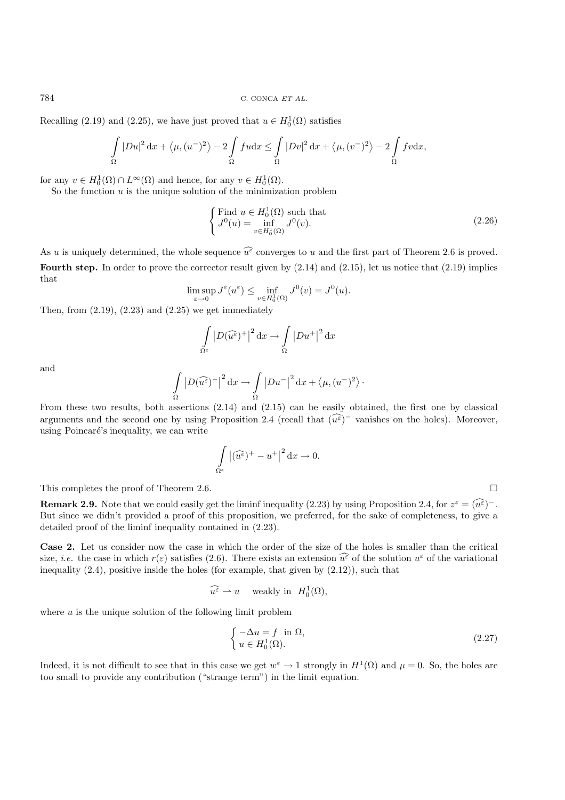784 C. CONCA ET AL.

Recalling (2.19) and (2.25), we have just proved that  $u \in H_0^1(\Omega)$  satisfies

$$
\int_{\Omega} |Du|^2 \, \mathrm{d}x + \langle \mu, (u^-)^2 \rangle - 2 \int_{\Omega} f u \mathrm{d}x \le \int_{\Omega} |Dv|^2 \, \mathrm{d}x + \langle \mu, (v^-)^2 \rangle - 2 \int_{\Omega} f v \mathrm{d}x,
$$

for any  $v \in H_0^1(\Omega) \cap L^\infty(\Omega)$  and hence, for any  $v \in H_0^1(\Omega)$ .

So the function  $u$  is the unique solution of the minimization problem

$$
\begin{cases}\n\text{Find } u \in H_0^1(\Omega) \text{ such that} \\
J^0(u) = \inf_{v \in H_0^1(\Omega)} J^0(v).\n\end{cases}
$$
\n(2.26)

As u is uniquely determined, the whole sequence  $\widehat{u^{\varepsilon}}$  converges to u and the first part of Theorem 2.6 is proved. **Fourth step.** In order to prove the corrector result given by  $(2.14)$  and  $(2.15)$ , let us notice that  $(2.19)$  implies that

$$
\limsup_{\varepsilon \to 0} J^{\varepsilon}(u^{\varepsilon}) \le \inf_{v \in H_0^1(\Omega)} J^0(v) = J^0(u).
$$

Then, from  $(2.19)$ ,  $(2.23)$  and  $(2.25)$  we get immediately

$$
\int_{\Omega^{\varepsilon}} |D(\widehat{u^{\varepsilon}})^{+}|^{2} dx \to \int_{\Omega} |Du^{+}|^{2} dx
$$

and

$$
\int\limits_{\Omega} \left|D(\widehat{u^{\varepsilon}})^-\right|^2 \textnormal{d} x \rightarrow \int\limits_{\Omega} \left|Du^-\right|^2 \textnormal{d} x + \left\langle \mu, (u^-)^2\right\rangle \cdot
$$

From these two results, both assertions (2.14) and (2.15) can be easily obtained, the first one by classical arguments and the second one by using Proposition 2.4 (recall that  $(\widehat{u^{\varepsilon}})^-$  vanishes on the holes). Moreover, using Poincaré's inequality, we can write

$$
\int\limits_{\Omega^{\varepsilon}} \left| (\widehat{u^{\varepsilon}})^{+} - u^{+} \right|^{2} \mathrm{d}x \to 0.
$$

This completes the proof of Theorem 2.6.

**Remark 2.9.** Note that we could easily get the liminf inequality (2.23) by using Proposition 2.4, for  $z^{\epsilon} = (\widehat{u^{\epsilon}})^{-}$ . But since we didn't provided a proof of this proposition, we preferred, for the sake of completeness, to give a detailed proof of the liminf inequality contained in (2.23).

**Case 2.** Let us consider now the case in which the order of the size of the holes is smaller than the critical size, *i.e.* the case in which  $r(\varepsilon)$  satisfies (2.6). There exists an extension  $\widehat{u^{\varepsilon}}$  of the solution  $u^{\varepsilon}$  of the variational inequality  $(2.4)$ , positive inside the holes (for example, that given by  $(2.12)$ ), such that

$$
\widehat{u^{\varepsilon}} \rightharpoonup u \quad \text{ weakly in} \ \ H_0^1(\Omega),
$$

where  $u$  is the unique solution of the following limit problem

$$
\begin{cases}\n-\Delta u = f \text{ in } \Omega, \\
u \in H_0^1(\Omega).\n\end{cases}
$$
\n(2.27)

Indeed, it is not difficult to see that in this case we get  $w^{\varepsilon} \to 1$  strongly in  $H^{1}(\Omega)$  and  $\mu = 0$ . So, the holes are too small to provide any contribution ("strange term") in the limit equation.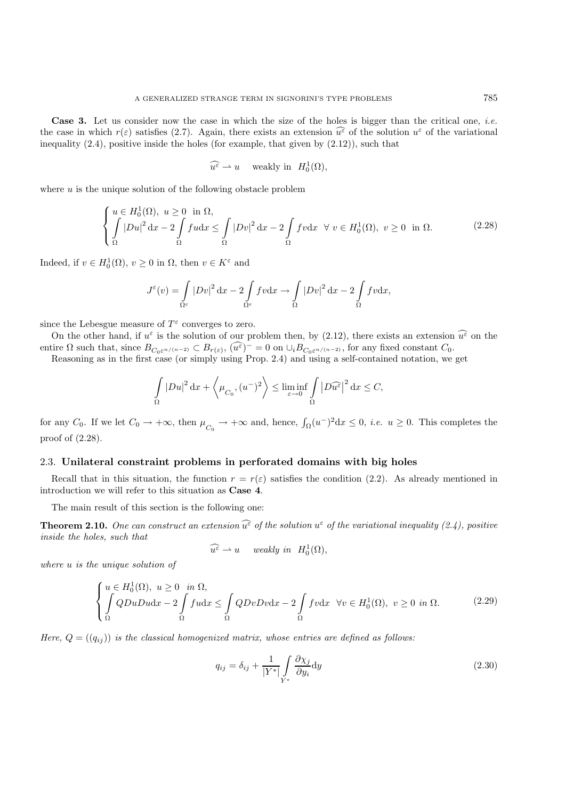**Case 3.** Let us consider now the case in which the size of the holes is bigger than the critical one, *i.e.* the case in which  $r(\varepsilon)$  satisfies (2.7). Again, there exists an extension  $\widehat{u^{\varepsilon}}$  of the solution  $u^{\varepsilon}$  of the variational inequality  $(2.4)$ , positive inside the holes (for example, that given by  $(2.12)$ ), such that

$$
\widehat{u^{\varepsilon}} \rightharpoonup u \quad \text{ weakly in} \ \ H_0^1(\Omega),
$$

where  $u$  is the unique solution of the following obstacle problem

$$
\begin{cases}\n u \in H_0^1(\Omega), \ u \ge 0 \quad \text{in } \Omega, \\
 \int_{\Omega} |Du|^2 \, dx - 2 \int_{\Omega} f u dx \le \int_{\Omega} |Dv|^2 \, dx - 2 \int_{\Omega} f v dx \quad \forall \ v \in H_0^1(\Omega), \ v \ge 0 \quad \text{in } \Omega.\n\end{cases} \tag{2.28}
$$

Indeed, if  $v \in H_0^1(\Omega)$ ,  $v \ge 0$  in  $\Omega$ , then  $v \in K^{\varepsilon}$  and

$$
J^{\varepsilon}(v) = \int_{\Omega^{\varepsilon}} |Dv|^2 dx - 2 \int_{\Omega^{\varepsilon}} f v dx \to \int_{\Omega} |Dv|^2 dx - 2 \int_{\Omega} f v dx,
$$

since the Lebesgue measure of  $T^{\varepsilon}$  converges to zero.

On the other hand, if  $u^{\varepsilon}$  is the solution of our problem then, by (2.12), there exists an extension  $\widehat{u^{\varepsilon}}$  on the entire  $\Omega$  such that, since  $B_{C_0\varepsilon^{n/(n-2)}} \subset B_{r(\varepsilon)}$ ,  $(\widehat{u^{\varepsilon}})^{-} = 0$  on  $\cup_i B_{C_0\varepsilon^{n/(n-2)}}$ , for any fixed constant  $C_0$ .

Reasoning as in the first case (or simply using Prop. 2.4) and using a self-contained notation, we get

$$
\int_{\Omega} |Du|^2 dx + \left\langle \mu_{C_0}, (u^-)^2 \right\rangle \le \liminf_{\varepsilon \to 0} \int_{\Omega} |D\widehat{u^{\varepsilon}}|^2 dx \le C,
$$

for any  $C_0$ . If we let  $C_0 \to +\infty$ , then  $\mu_{C_0} \to +\infty$  and, hence,  $\int_{\Omega} (u^-)^2 dx \leq 0$ , *i.e.*  $u \geq 0$ . This completes the proof of (2.28).

# 2.3. **Unilateral constraint problems in perforated domains with big holes**

Recall that in this situation, the function  $r = r(\varepsilon)$  satisfies the condition (2.2). As already mentioned in introduction we will refer to this situation as **Case 4**.

The main result of this section is the following one:

**Theorem 2.10.** One can construct an extension  $\widehat{u^{\varepsilon}}$  of the solution  $u^{\varepsilon}$  of the variational inequality (2.4), positive *inside the holes, such that*

$$
\widehat{u^{\varepsilon}} \rightharpoonup u \quad weakly \ in \ \ H_0^1(\Omega),
$$

*where* u *is the unique solution of*

$$
\begin{cases}\n u \in H_0^1(\Omega), \ u \ge 0 \quad \text{in } \Omega, \\
 \int_{\Omega} QDuDu \, dx - 2 \int_{\Omega} f u \, dx \le \int_{\Omega} QDvDv \, dx - 2 \int_{\Omega} f v \, dx \quad \forall v \in H_0^1(\Omega), \ v \ge 0 \quad \text{in } \Omega.\n\end{cases} \tag{2.29}
$$

*Here,*  $Q = (q_{ij})$  *is the classical homogenized matrix, whose entries are defined as follows:* 

$$
q_{ij} = \delta_{ij} + \frac{1}{|Y^*|} \int\limits_{Y^*} \frac{\partial \chi_j}{\partial y_i} \mathrm{d}y \tag{2.30}
$$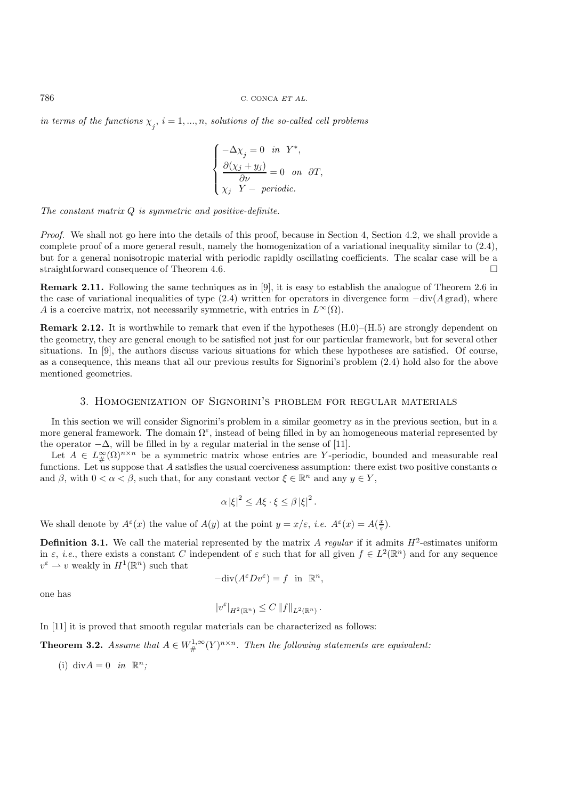$\hat{p}_j$  in terms of the functions  $\chi_j$ ,  $i = 1, ..., n$ , solutions of the so-called cell problems

$$
\begin{cases}\n-\Delta \chi_j = 0 & \text{in } Y^*, \\
\frac{\partial (\chi_j + y_j)}{\partial \nu} = 0 & \text{on } \partial T, \\
\chi_j & Y - \text{periodic.} \n\end{cases}
$$

*The constant matrix* Q *is symmetric and positive-definite.*

*Proof.* We shall not go here into the details of this proof, because in Section 4, Section 4.2, we shall provide a complete proof of a more general result, namely the homogenization of a variational inequality similar to (2.4), but for a general nonisotropic material with periodic rapidly oscillating coefficients. The scalar case will be a straightforward consequence of Theorem 4.6.

**Remark 2.11.** Following the same techniques as in [9], it is easy to establish the analogue of Theorem 2.6 in the case of variational inequalities of type  $(2.4)$  written for operators in divergence form  $-\text{div}(A \text{ grad})$ , where A is a coercive matrix, not necessarily symmetric, with entries in  $L^{\infty}(\Omega)$ .

**Remark 2.12.** It is worthwhile to remark that even if the hypotheses  $(H.0)$ – $(H.5)$  are strongly dependent on the geometry, they are general enough to be satisfied not just for our particular framework, but for several other situations. In [9], the authors discuss various situations for which these hypotheses are satisfied. Of course, as a consequence, this means that all our previous results for Signorini's problem (2.4) hold also for the above mentioned geometries.

#### 3. Homogenization of Signorini's problem for regular materials

In this section we will consider Signorini's problem in a similar geometry as in the previous section, but in a more general framework. The domain  $\Omega^{\varepsilon}$ , instead of being filled in by an homogeneous material represented by the operator  $-\Delta$ , will be filled in by a regular material in the sense of [11].

Let  $A \in L^{\infty}_{\#}(\Omega)^{n \times n}$  be a symmetric matrix whose entries are Y-periodic, bounded and measurable real functions. Let us suppose that A satisfies the usual coerciveness assumption: there exist two positive constants  $\alpha$ and  $\beta$ , with  $0 < \alpha < \beta$ , such that, for any constant vector  $\xi \in \mathbb{R}^n$  and any  $y \in Y$ ,

$$
\alpha |\xi|^2 \leq A \xi \cdot \xi \leq \beta |\xi|^2.
$$

We shall denote by  $A^{\varepsilon}(x)$  the value of  $A(y)$  at the point  $y = x/\varepsilon$ , *i.e.*  $A^{\varepsilon}(x) = A(\frac{x}{\varepsilon})$ .

**Definition 3.1.** We call the material represented by the matrix A regular if it admits  $H^2$ -estimates uniform in  $\varepsilon$ , *i.e.*, there exists a constant C independent of  $\varepsilon$  such that for all given  $f \in L^2(\mathbb{R}^n)$  and for any sequence  $v^{\varepsilon} \rightharpoonup v$  weakly in  $H^1(\mathbb{R}^n)$  such that

$$
-\text{div}(A^{\varepsilon}Dv^{\varepsilon}) = f \text{ in } \mathbb{R}^n,
$$

one has

$$
|v^{\varepsilon}|_{H^2(\mathbb{R}^n)} \leq C \|f\|_{L^2(\mathbb{R}^n)}.
$$

In [11] it is proved that smooth regular materials can be characterized as follows:

**Theorem 3.2.** *Assume that*  $A \in W^{1,\infty}_\#(Y)^{n \times n}$ . Then the following statements are equivalent:

(i) div $A = 0$  *in*  $\mathbb{R}^n$ ;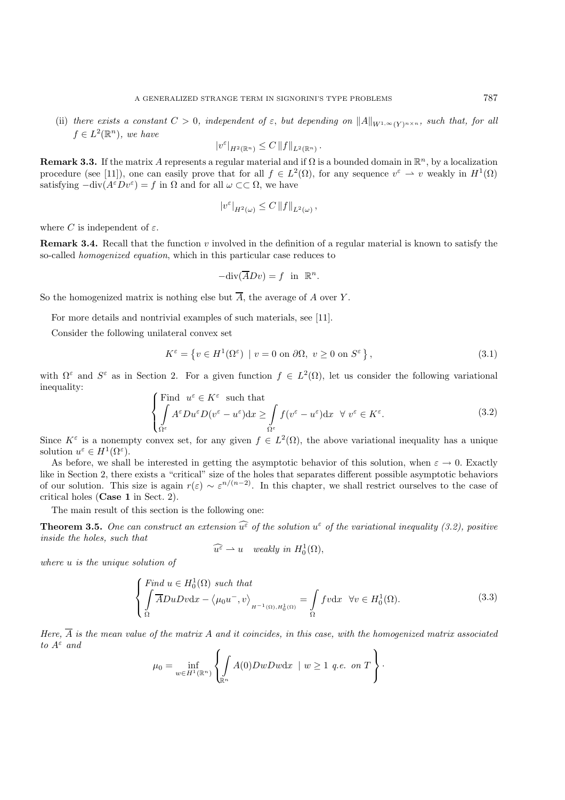(ii) there exists a constant  $C > 0$ , independent of  $\varepsilon$ , but depending on  $||A||_{W^{1,\infty}(Y)^{n\times n}}$ , such that, for all  $f \in L^2(\mathbb{R}^n)$ , we have

$$
|v^{\varepsilon}|_{H^2(\mathbb{R}^n)} \leq C ||f||_{L^2(\mathbb{R}^n)}.
$$

**Remark 3.3.** If the matrix A represents a regular material and if  $\Omega$  is a bounded domain in  $\mathbb{R}^n$ , by a localization procedure (see [11]), one can easily prove that for all  $f \in L^2(\Omega)$ , for any sequence  $v^{\varepsilon} \to v$  weakly in  $H^1(\Omega)$ satisfying  $-\text{div}(A^{\varepsilon}Dv^{\varepsilon}) = f$  in  $\Omega$  and for all  $\omega \subset\subset \Omega$ , we have

$$
|v^{\varepsilon}|_{H^2(\omega)} \leq C ||f||_{L^2(\omega)},
$$

where C is independent of  $\varepsilon$ .

**Remark 3.4.** Recall that the function v involved in the definition of a regular material is known to satisfy the so-called *homogenized equation*, which in this particular case reduces to

$$
-\text{div}(\overline{A}Dv) = f \text{ in } \mathbb{R}^n.
$$

So the homogenized matrix is nothing else but  $\overline{A}$ , the average of A over Y.

For more details and nontrivial examples of such materials, see [11].

Consider the following unilateral convex set

$$
K^{\varepsilon} = \left\{ v \in H^{1}(\Omega^{\varepsilon}) \mid v = 0 \text{ on } \partial\Omega, v \ge 0 \text{ on } S^{\varepsilon} \right\},\tag{3.1}
$$

with  $\Omega^{\varepsilon}$  and  $S^{\varepsilon}$  as in Section 2. For a given function  $f \in L^{2}(\Omega)$ , let us consider the following variational inequality:

$$
\begin{cases}\n\text{Find } u^{\varepsilon} \in K^{\varepsilon} \text{ such that} \\
\int_{\Omega^{\varepsilon}} A^{\varepsilon} Du^{\varepsilon} D(v^{\varepsilon} - u^{\varepsilon}) dx \ge \int_{\Omega^{\varepsilon}} f(v^{\varepsilon} - u^{\varepsilon}) dx \quad \forall \ v^{\varepsilon} \in K^{\varepsilon}.\n\end{cases} (3.2)
$$

Since  $K^{\varepsilon}$  is a nonempty convex set, for any given  $f \in L^{2}(\Omega)$ , the above variational inequality has a unique solution  $u^{\varepsilon} \in H^1(\Omega^{\varepsilon})$ .

As before, we shall be interested in getting the asymptotic behavior of this solution, when  $\varepsilon \to 0$ . Exactly like in Section 2, there exists a "critical" size of the holes that separates different possible asymptotic behaviors of our solution. This size is again  $r(\varepsilon) \sim \varepsilon^{n/(n-2)}$ . In this chapter, we shall restrict ourselves to the case of critical holes (**Case 1** in Sect. 2).

The main result of this section is the following one:

**Theorem 3.5.** One can construct an extension  $\widehat{u^{\varepsilon}}$  of the solution  $u^{\varepsilon}$  of the variational inequality (3.2), positive *inside the holes, such that*

$$
\widehat{u^{\varepsilon}} \rightharpoonup u \quad weakly \, \text{ in } H_0^1(\Omega),
$$

*where* u *is the unique solution of*

$$
\begin{cases}\n\int \overline{F} \, d\mu \in H_0^1(\Omega) \text{ such that} \\
\int \overline{A} D \, u \, D \, v \, dx - \langle \mu_0 u^-, v \rangle_{H^{-1}(\Omega), H_0^1(\Omega)} = \int_{\Omega} f v \, dx \quad \forall v \in H_0^1(\Omega). \n\end{cases} \tag{3.3}
$$

*Here,*  $\overline{A}$  *is the mean value of the matrix* A *and it coincides, in this case, with the homogenized matrix associated*  $to$   $A^{\varepsilon}$  and

$$
\mu_0 = \inf_{w \in H^1(\mathbb{R}^n)} \left\{ \int_{\mathbb{R}^n} A(0) DwDw \mathrm{d}x \mid w \ge 1 \text{ q.e. on } T \right\}.
$$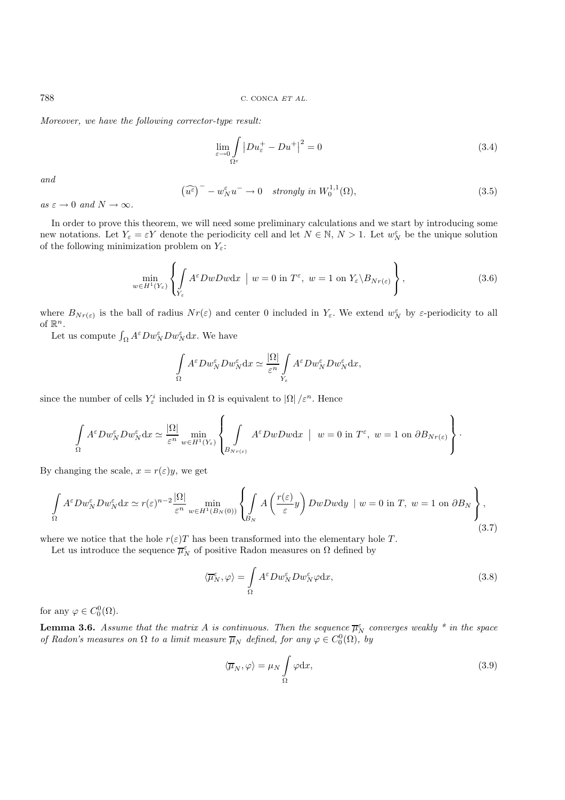*Moreover, we have the following corrector-type result:*

$$
\lim_{\varepsilon \to 0} \int_{\Omega^{\varepsilon}} |Du_{\varepsilon}^{+} - Du^{+}|^{2} = 0
$$
\n(3.4)

*and*

$$
(\widehat{u^{\varepsilon}})^{-} - w_{N}^{\varepsilon} u^{-} \to 0 \quad strongly \ in \ W_{0}^{1,1}(\Omega), \tag{3.5}
$$

 $as \varepsilon \to 0 \text{ and } N \to \infty$ .

In order to prove this theorem, we will need some preliminary calculations and we start by introducing some new notations. Let  $Y_{\varepsilon} = \varepsilon Y$  denote the periodicity cell and let  $N \in \mathbb{N}$ ,  $N > 1$ . Let  $w_N^{\varepsilon}$  be the unique solution of the following minimization problem on  $Y_\varepsilon\text{:}$ 

$$
\min_{w \in H^1(Y_{\varepsilon})} \left\{ \int_{Y_{\varepsilon}} A^{\varepsilon} DwDw \mathrm{d}x \mid w = 0 \text{ in } T^{\varepsilon}, \ w = 1 \text{ on } Y_{\varepsilon} \backslash B_{Nr(\varepsilon)} \right\},\tag{3.6}
$$

where  $B_{Nr(\varepsilon)}$  is the ball of radius  $Nr(\varepsilon)$  and center 0 included in  $Y_{\varepsilon}$ . We extend  $w_N^{\varepsilon}$  by  $\varepsilon$ -periodicity to all of  $\mathbb{R}^n$ .

Let us compute  $\int_{\Omega} A^{\varepsilon} Dw_N^{\varepsilon} Dw_N^{\varepsilon} dx$ . We have

$$
\int_{\Omega} A^{\varepsilon} D w_N^{\varepsilon} D w_N^{\varepsilon} dx \simeq \frac{|\Omega|}{\varepsilon^n} \int_{Y_{\varepsilon}} A^{\varepsilon} D w_N^{\varepsilon} D w_N^{\varepsilon} dx,
$$

since the number of cells  $Y^i_\varepsilon$  included in  $\Omega$  is equivalent to  $|\Omega|/\varepsilon^n$ . Hence

$$
\int_{\Omega} A^{\varepsilon} D w_N^{\varepsilon} D w_N^{\varepsilon} dx \simeq \frac{|\Omega|}{\varepsilon^n} \min_{w \in H^1(Y_{\varepsilon})} \left\{ \int_{B_{Nr(\varepsilon)}} A^{\varepsilon} D w D w dx \mid w = 0 \text{ in } T^{\varepsilon}, w = 1 \text{ on } \partial B_{Nr(\varepsilon)} \right\}.
$$

By changing the scale,  $x = r(\varepsilon)y$ , we get

$$
\int_{\Omega} A^{\varepsilon} Dw_N^{\varepsilon} Dw_N^{\varepsilon} dx \simeq r(\varepsilon)^{n-2} \frac{|\Omega|}{\varepsilon^n} \min_{w \in H^1(B_N(0))} \left\{ \int_{B_N} A\left(\frac{r(\varepsilon)}{\varepsilon} y\right) DwDw dy \mid w = 0 \text{ in } T, \ w = 1 \text{ on } \partial B_N \right\},\tag{3.7}
$$

where we notice that the hole  $r(\varepsilon)T$  has been transformed into the elementary hole T.

Let us introduce the sequence  $\overline{\mu}_{N}^{\varepsilon}$  of positive Radon measures on  $\Omega$  defined by

$$
\langle \overline{\mu}_N^{\varepsilon}, \varphi \rangle = \int_{\Omega} A^{\varepsilon} D w_N^{\varepsilon} D w_N^{\varepsilon} \varphi \mathrm{d} x, \tag{3.8}
$$

for any  $\varphi \in C_0^0(\Omega)$ .

**Lemma 3.6.** *Assume that the matrix A is continuous. Then the sequence*  $\overline{\mu}_{N}^{\epsilon}$  *converges weakly*  $*$  *in the space of Radon's measures on*  $\Omega$  *to a limit measure*  $\overline{\mu}_N$  *defined, for any*  $\varphi \in C_0^0(\Omega)$ *, by* 

$$
\langle \overline{\mu}_N, \varphi \rangle = \mu_N \int_{\Omega} \varphi \mathrm{d}x,\tag{3.9}
$$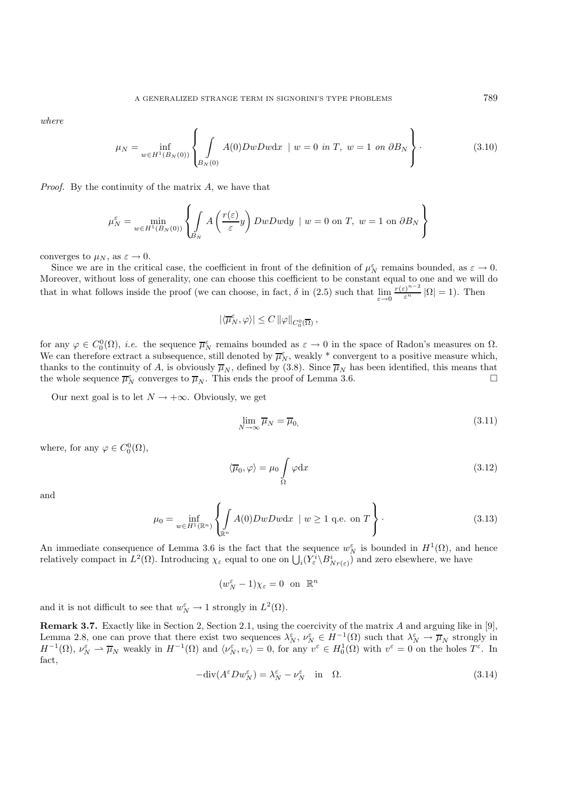*where*

$$
\mu_N = \inf_{w \in H^1(B_N(0))} \left\{ \int_{B_N(0)} A(0)DwDw \, dx \, \mid w = 0 \text{ in } T, \ w = 1 \text{ on } \partial B_N \right\}.
$$
\n(3.10)

*Proof.* By the continuity of the matrix A, we have that

$$
\mu_N^{\varepsilon} = \min_{w \in H^1(B_N(0))} \left\{ \int_{B_N} A\left(\frac{r(\varepsilon)}{\varepsilon} y\right) DwDwdy \mid w = 0 \text{ on } T, w = 1 \text{ on } \partial B_N \right\}
$$

converges to  $\mu_N$ , as  $\varepsilon \to 0$ .

Since we are in the critical case, the coefficient in front of the definition of  $\mu_N^{\varepsilon}$  remains bounded, as  $\varepsilon \to 0$ . Moreover, without loss of generality, one can choose this coefficient to be constant equal to one and we will do that in what follows inside the proof (we can choose, in fact,  $\delta$  in (2.5) such that  $\lim_{\varepsilon \to 0} \frac{r(\varepsilon)^{n-2}}{\varepsilon^n} |\Omega| = 1$ ). Then

$$
|\langle \overline{\mu}_N^{\varepsilon}, \varphi \rangle| \leq C \, \|\varphi\|_{C_0^0(\overline{\Omega})} \, ,
$$

for any  $\varphi \in C_0^0(\Omega)$ , *i.e.* the sequence  $\overline{\mu}_N^{\varepsilon}$  remains bounded as  $\varepsilon \to 0$  in the space of Radon's measures on  $\Omega$ . We can therefore extract a subsequence, still denoted by  $\overline{\mu}_N^{\varepsilon}$ , weakly \* convergent to a positive measure which, thanks to the continuity of A, is obviously  $\overline{\mu}_N$ , defined by (3.8). Since  $\overline{\mu}_N$  has been identified, this means that the whole sequence  $\overline{\mu}_N^{\epsilon}$  converges to  $\overline{\mu}_N$ . This ends the proof of Lemma 3.6. the whole sequence  $\overline{\mu}_N^{\varepsilon}$  converges to  $\overline{\mu}_N$ . This ends the proof of Lemma 3.6.

Our next goal is to let  $N \rightarrow +\infty$ . Obviously, we get

$$
\lim_{N \to \infty} \overline{\mu}_N = \overline{\mu}_0,\tag{3.11}
$$

where, for any  $\varphi \in C_0^0(\Omega)$ ,

$$
\langle \overline{\mu}_0, \varphi \rangle = \mu_0 \int_{\Omega} \varphi \mathrm{d}x \tag{3.12}
$$

and

$$
\mu_0 = \inf_{w \in H^1(\mathbb{R}^n)} \left\{ \int_{\mathbb{R}^n} A(0) DwDw \, \mathrm{d}x \, \mid w \ge 1 \text{ q.e. on } T \right\}.
$$
\n
$$
(3.13)
$$

An immediate consequence of Lemma 3.6 is the fact that the sequence  $w_N^{\varepsilon}$  is bounded in  $H^1(\Omega)$ , and hence relatively compact in  $L^2(\Omega)$ . Introducing  $\chi_{\varepsilon}$  equal to one on  $\bigcup_i (Y_{\varepsilon}^i \setminus B_{Nr({\varepsilon})}^i)$  and zero elsewhere, we have

$$
(w_N^{\varepsilon} - 1)\chi_{\varepsilon} = 0 \text{ on } \mathbb{R}^n
$$

and it is not difficult to see that  $w_N^{\varepsilon} \to 1$  strongly in  $L^2(\Omega)$ .

**Remark 3.7.** Exactly like in Section 2, Section 2.1, using the coercivity of the matrix A and arguing like in [9], Lemma 2.8, one can prove that there exist two sequences  $\lambda_N^{\varepsilon}$ ,  $\nu_N^{\varepsilon} \in H^{-1}(\Omega)$  such that  $\lambda_N^{\varepsilon} \to \overline{\mu}_N$  strongly in  $H^{-1}(\Omega)$ ,  $\nu_N^{\varepsilon} \rightharpoonup \overline{\mu}_N$  weakly in  $H^{-1}(\Omega)$  and  $\langle \nu_N^{\varepsilon}, \nu_{\varepsilon} \rangle = 0$ , for any  $v^{\varepsilon} \in H_0^1(\Omega)$  with  $v^{\varepsilon} = 0$  on the holes  $T^{\varepsilon}$ . In fact,

$$
-\text{div}(A^{\varepsilon}Dw_N^{\varepsilon}) = \lambda_N^{\varepsilon} - \nu_N^{\varepsilon} \quad \text{in} \quad \Omega. \tag{3.14}
$$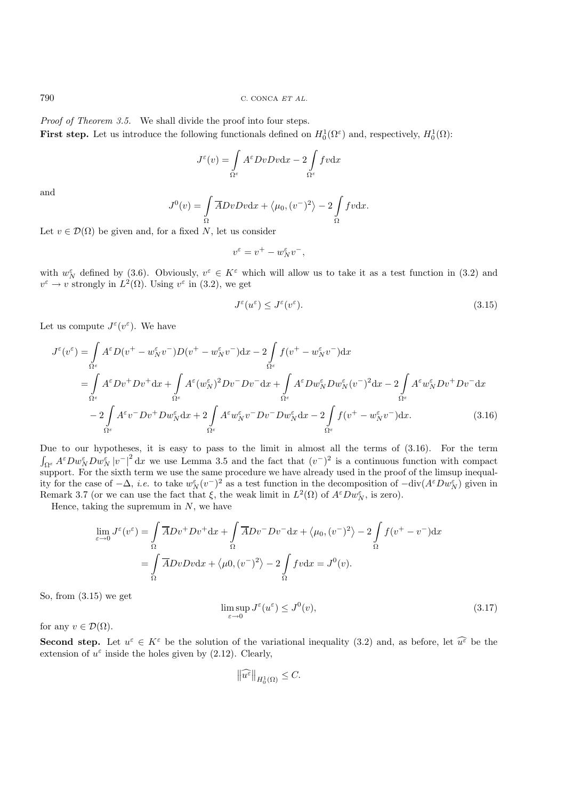790 C. CONCA ET AL.

*Proof of Theorem 3.5.* We shall divide the proof into four steps. **First step.** Let us introduce the following functionals defined on  $H_0^1(\Omega^{\epsilon})$  and, respectively,  $H_0^1(\Omega)$ :

$$
J^{\varepsilon}(v) = \int\limits_{\Omega^{\varepsilon}} A^{\varepsilon} D v D v \mathrm{d}x - 2 \int\limits_{\Omega^{\varepsilon}} f v \mathrm{d}x
$$

and

$$
J^{0}(v) = \int_{\Omega} \overline{A}DvDv \mathrm{d}x + \langle \mu_{0}, (v^{-})^{2} \rangle - 2 \int_{\Omega} fv \mathrm{d}x.
$$

Let  $v \in \mathcal{D}(\Omega)$  be given and, for a fixed N, let us consider

$$
v^{\varepsilon} = v^{+} - w_{N}^{\varepsilon}v^{-},
$$

with  $w_N^{\varepsilon}$  defined by (3.6). Obviously,  $v^{\varepsilon} \in K^{\varepsilon}$  which will allow us to take it as a test function in (3.2) and  $v^{\varepsilon} \to v$  strongly in  $L^2(\Omega)$ . Using  $v^{\varepsilon}$  in (3.2), we get

$$
J^{\varepsilon}(u^{\varepsilon}) \le J^{\varepsilon}(v^{\varepsilon}).\tag{3.15}
$$

Let us compute  $J^{\varepsilon}(v^{\varepsilon})$ . We have

$$
J^{\varepsilon}(v^{\varepsilon}) = \int_{\Omega^{\varepsilon}} A^{\varepsilon} D(v^{+} - w_{N}^{\varepsilon} v^{-}) D(v^{+} - w_{N}^{\varepsilon} v^{-}) dx - 2 \int_{\Omega^{\varepsilon}} f(v^{+} - w_{N}^{\varepsilon} v^{-}) dx
$$
  
\n
$$
= \int_{\Omega^{\varepsilon}} A^{\varepsilon} D v^{+} D v^{+} dx + \int_{\Omega^{\varepsilon}} A^{\varepsilon} (w_{N}^{\varepsilon})^{2} D v^{-} D v^{-} dx + \int_{\Omega^{\varepsilon}} A^{\varepsilon} D w_{N}^{\varepsilon} D w_{N}^{\varepsilon} (v^{-})^{2} dx - 2 \int_{\Omega^{\varepsilon}} A^{\varepsilon} w_{N}^{\varepsilon} D v^{+} D v^{-} dx
$$
  
\n
$$
- 2 \int_{\Omega^{\varepsilon}} A^{\varepsilon} v^{-} D v^{+} D w_{N}^{\varepsilon} dx + 2 \int_{\Omega^{\varepsilon}} A^{\varepsilon} w_{N}^{\varepsilon} v^{-} D v^{-} D w_{N}^{\varepsilon} dx - 2 \int_{\Omega^{\varepsilon}} f(v^{+} - w_{N}^{\varepsilon} v^{-}) dx.
$$
 (3.16)

Due to our hypotheses, it is easy to pass to the limit in almost all the terms of (3.16). For the term  $\int_{\Omega^{\varepsilon}} A^{\varepsilon} Dw_N^{\varepsilon}Dw_N^{\varepsilon}|v^{-}|^2 dx$  we use Lemma 3.5 and the fact that  $(v^{-})^2$  is a continuous function with compact support. For the sixth term we use the same procedure we have already used in the proof of the limsup inequality for the case of  $-\Delta$ , *i.e.* to take  $w_N^{\varepsilon}(v^-)^2$  as a test function in the decomposition of  $-\text{div}(A^{\varepsilon}Dw_N^{\varepsilon})$  given in Remark 3.7 (or we can use the fact that  $\xi$ , the weak limit in  $L^2(\Omega)$  of  $A^{\varepsilon}Dw_N^{\varepsilon}$ , is zero).

Hence, taking the supremum in  $N$ , we have

$$
\lim_{\varepsilon \to 0} J^{\varepsilon}(v^{\varepsilon}) = \int_{\Omega} \overline{A}Dv^{+}Dv^{+}dx + \int_{\Omega} \overline{A}Dv^{-}Dv^{-}dx + \langle \mu_{0}, (v^{-})^{2} \rangle - 2 \int_{\Omega} f(v^{+} - v^{-})dx
$$

$$
= \int_{\Omega} \overline{A}DvDvdx + \langle \mu_{0}, (v^{-})^{2} \rangle - 2 \int_{\Omega} fvdx = J^{0}(v).
$$

So, from (3.15) we get

$$
\limsup_{\varepsilon \to 0} J^{\varepsilon}(u^{\varepsilon}) \leq J^{0}(v),\tag{3.17}
$$

for any  $v \in \mathcal{D}(\Omega)$ .

**Second step.** Let  $u^{\varepsilon} \in K^{\varepsilon}$  be the solution of the variational inequality (3.2) and, as before, let  $\widehat{u^{\varepsilon}}$  be the extension of  $u^{\varepsilon}$  inside the holes given by (2.12). Clearly,

$$
\left\|\widehat{u^{\varepsilon}}\right\|_{H_0^1(\Omega)} \leq C.
$$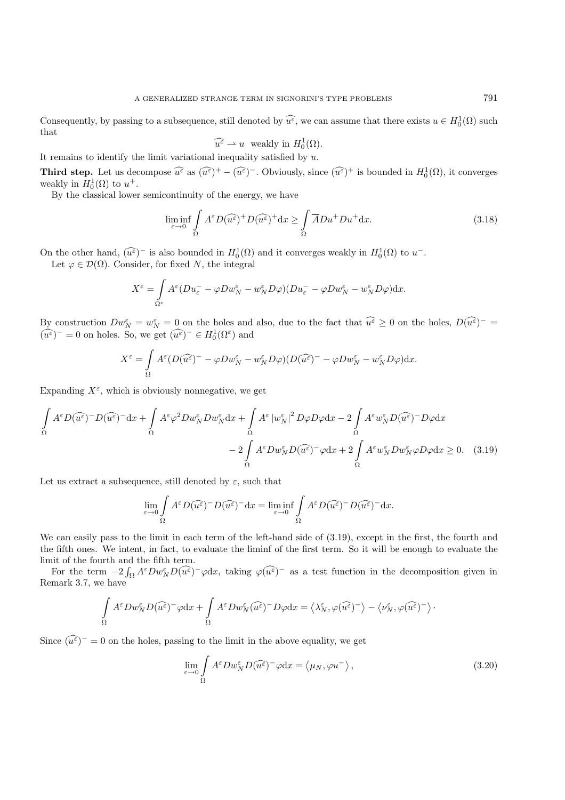Consequently, by passing to a subsequence, still denoted by  $\widehat{u^{\varepsilon}}$ , we can assume that there exists  $u \in H_0^1(\Omega)$  such that

$$
\widehat{u^{\varepsilon}} \rightharpoonup u \text{ weakly in } H_0^1(\Omega).
$$

It remains to identify the limit variational inequality satisfied by  $u$ .

**Third step.** Let us decompose  $\widehat{u^{\varepsilon}}$  as  $(\widehat{u^{\varepsilon}})^+ - (\widehat{u^{\varepsilon}})^-$ . Obviously, since  $(\widehat{u^{\varepsilon}})^+$  is bounded in  $H_0^1(\Omega)$ , it converges weakly in  $H_0^1(\Omega)$  to  $u^+$ .

By the classical lower semicontinuity of the energy, we have

$$
\liminf_{\varepsilon \to 0} \int_{\Omega} A^{\varepsilon} D(\widehat{u^{\varepsilon}})^{+} D(\widehat{u^{\varepsilon}})^{+} dx \ge \int_{\Omega} \overline{A} D u^{+} D u^{+} dx. \tag{3.18}
$$

On the other hand,  $(\widehat{u^{\varepsilon}})^-$  is also bounded in  $H_0^1(\Omega)$  and it converges weakly in  $H_0^1(\Omega)$  to  $u^-$ . Let  $\varphi \in \mathcal{D}(\Omega)$ . Consider, for fixed N, the integral

$$
X^{\varepsilon} = \int\limits_{\Omega^{\varepsilon}} A^{\varepsilon} (Du_{\varepsilon}^{-} - \varphi Dw_{N}^{\varepsilon} - w_{N}^{\varepsilon} D\varphi)(Du_{\varepsilon}^{-} - \varphi Dw_{N}^{\varepsilon} - w_{N}^{\varepsilon} D\varphi) dx.
$$

By construction  $Dw_N^{\varepsilon} = w_N^{\varepsilon} = 0$  on the holes and also, due to the fact that  $\widehat{u^{\varepsilon}} \geq 0$  on the holes,  $D(\widehat{u^{\varepsilon}})^{-} =$  $(\widehat{u^{\varepsilon}})^{-} = 0$  on holes. So, we get  $(\widehat{u^{\varepsilon}})^{-} \in H_0^1(\Omega^{\varepsilon})$  and

$$
X^{\varepsilon} = \int_{\Omega} A^{\varepsilon} (D(\widehat{u^{\varepsilon}})^{-} - \varphi Dw_{N}^{\varepsilon} - w_{N}^{\varepsilon} D\varphi)(D(\widehat{u^{\varepsilon}})^{-} - \varphi Dw_{N}^{\varepsilon} - w_{N}^{\varepsilon} D\varphi)dx.
$$

Expanding  $X^{\varepsilon}$ , which is obviously nonnegative, we get

$$
\int_{\Omega} A^{\varepsilon} D(\widehat{u^{\varepsilon}})^{-} D(\widehat{u^{\varepsilon}})^{-} dx + \int_{\Omega} A^{\varepsilon} \varphi^{2} Dw_{N}^{\varepsilon} Dw_{N}^{\varepsilon} dx + \int_{\Omega} A^{\varepsilon} |w_{N}^{\varepsilon}|^{2} D\varphi D\varphi dx - 2 \int_{\Omega} A^{\varepsilon} w_{N}^{\varepsilon} D(\widehat{u^{\varepsilon}})^{-} D\varphi dx \n- 2 \int_{\Omega} A^{\varepsilon} Dw_{N}^{\varepsilon} D(\widehat{u^{\varepsilon}})^{-} \varphi dx + 2 \int_{\Omega} A^{\varepsilon} w_{N}^{\varepsilon} Dw_{N}^{\varepsilon} \varphi D\varphi dx \ge 0.
$$
\n(3.19)

Let us extract a subsequence, still denoted by  $\varepsilon$ , such that

$$
\lim_{\varepsilon \to 0} \int_{\Omega} A^{\varepsilon} D(\widehat{u^{\varepsilon}})^{-} D(\widehat{u^{\varepsilon}})^{-} dx = \liminf_{\varepsilon \to 0} \int_{\Omega} A^{\varepsilon} D(\widehat{u^{\varepsilon}})^{-} D(\widehat{u^{\varepsilon}})^{-} dx.
$$

We can easily pass to the limit in each term of the left-hand side of  $(3.19)$ , except in the first, the fourth and the fifth ones. We intent, in fact, to evaluate the liminf of the first term. So it will be enough to evaluate the limit of the fourth and the fifth term.

For the term  $-2 \int_{\Omega} A^{\varepsilon} D w_N^{\varepsilon} D(\widehat{u^{\varepsilon}})^{-} \varphi dx$ , taking  $\varphi(\widehat{u^{\varepsilon}})^{-}$  as a test function in the decomposition given in Remark 3.7, we have

$$
\int_{\Omega} A^{\varepsilon} D w_N^{\varepsilon} D(\widehat{u^{\varepsilon}})^{-} \varphi dx + \int_{\Omega} A^{\varepsilon} D w_N^{\varepsilon} (\widehat{u^{\varepsilon}})^{-} D \varphi dx = \left\langle \lambda_N^{\varepsilon}, \varphi(\widehat{u^{\varepsilon}})^{-} \right\rangle - \left\langle \nu_N^{\varepsilon}, \varphi(\widehat{u^{\varepsilon}})^{-} \right\rangle.
$$

Since  $(\widehat{u^{\varepsilon}})^{-} = 0$  on the holes, passing to the limit in the above equality, we get

$$
\lim_{\varepsilon \to 0} \int_{\Omega} A^{\varepsilon} D w_N^{\varepsilon} D (\widehat{u^{\varepsilon}})^{-} \varphi dx = \langle \mu_N, \varphi u^{-} \rangle, \qquad (3.20)
$$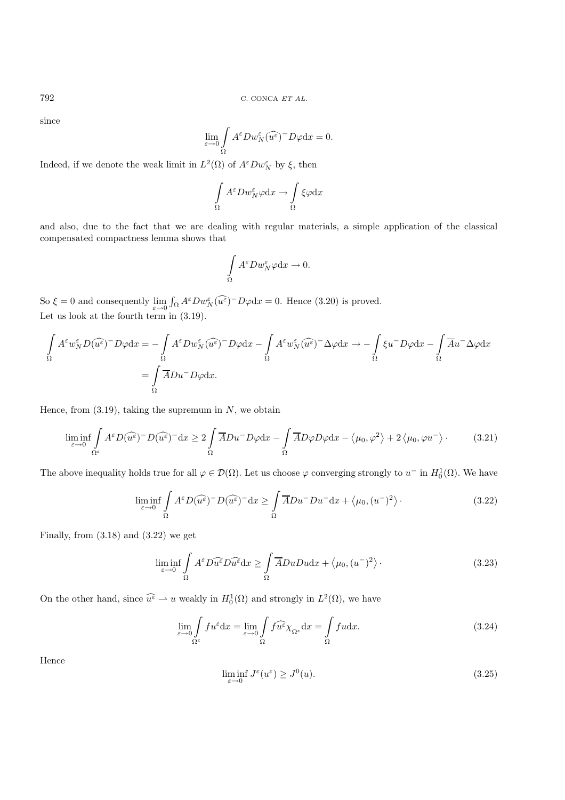since

$$
\lim_{\varepsilon \to 0} \int\limits_\Omega A^\varepsilon Dw_N^\varepsilon (\widehat{u^\varepsilon})^- D\varphi \mathrm{d} x = 0.
$$

Indeed, if we denote the weak limit in  $L^2(\Omega)$  of  $A^{\varepsilon}Dw_N^{\varepsilon}$  by  $\xi$ , then

$$
\int_{\Omega} A^{\varepsilon} Dw_N^{\varepsilon} \varphi \mathrm{d} x \to \int_{\Omega} \xi \varphi \mathrm{d} x
$$

and also, due to the fact that we are dealing with regular materials, a simple application of the classical compensated compactness lemma shows that

$$
\int\limits_{\Omega} A^{\varepsilon} Dw_N^{\varepsilon} \varphi \mathrm{d} x \to 0.
$$

So  $\xi = 0$  and consequently  $\lim_{\varepsilon \to 0} \int_{\Omega} A^{\varepsilon} D w_N^{\varepsilon} (\widehat{u^{\varepsilon}})^{-} D \varphi dx = 0$ . Hence (3.20) is proved. Let us look at the fourth term in (3.19).

$$
\int_{\Omega} A^{\varepsilon} w_N^{\varepsilon} D(\widehat{u^{\varepsilon}})^{-} D\varphi dx = -\int_{\Omega} A^{\varepsilon} D w_N^{\varepsilon} (\widehat{u^{\varepsilon}})^{-} D\varphi dx - \int_{\Omega} A^{\varepsilon} w_N^{\varepsilon} (\widehat{u^{\varepsilon}})^{-} \Delta \varphi dx \to -\int_{\Omega} \xi u^{-} D\varphi dx - \int_{\Omega} \overline{A} u^{-} \Delta \varphi dx
$$

$$
= \int_{\Omega} \overline{A} D u^{-} D\varphi dx.
$$

Hence, from  $(3.19)$ , taking the supremum in N, we obtain

$$
\liminf_{\varepsilon \to 0} \int_{\Omega^{\varepsilon}} A^{\varepsilon} D(\widehat{u^{\varepsilon}})^{-} D(\widehat{u^{\varepsilon}})^{-} dx \ge 2 \int_{\Omega} \overline{A} D u^{-} D \varphi dx - \int_{\Omega} \overline{A} D \varphi D \varphi dx - \langle \mu_{0}, \varphi^{2} \rangle + 2 \langle \mu_{0}, \varphi u^{-} \rangle. \tag{3.21}
$$

The above inequality holds true for all  $\varphi \in \mathcal{D}(\Omega)$ . Let us choose  $\varphi$  converging strongly to  $u^-$  in  $H_0^1(\Omega)$ . We have

$$
\liminf_{\varepsilon \to 0} \int_{\Omega} A^{\varepsilon} D(\widehat{u^{\varepsilon}})^{-} D(\widehat{u^{\varepsilon}})^{-} dx \ge \int_{\Omega} \overline{A} D u^{-} D u^{-} dx + \langle \mu_{0}, (u^{-})^{2} \rangle. \tag{3.22}
$$

Finally, from  $(3.18)$  and  $(3.22)$  we get

$$
\liminf_{\varepsilon \to 0} \int_{\Omega} A^{\varepsilon} D \widehat{u^{\varepsilon}} D \widehat{u^{\varepsilon}} dx \ge \int_{\Omega} \overline{A} Du Du dx + \langle \mu_0, (u^-)^2 \rangle. \tag{3.23}
$$

On the other hand, since  $\widehat{u^{\varepsilon}} \to u$  weakly in  $H_0^1(\Omega)$  and strongly in  $L^2(\Omega)$ , we have

$$
\lim_{\varepsilon \to 0} \int_{\Omega^{\varepsilon}} f u^{\varepsilon} dx = \lim_{\varepsilon \to 0} \int_{\Omega} f \widehat{u^{\varepsilon}} \chi_{\Omega^{\varepsilon}} dx = \int_{\Omega} f u dx.
$$
\n(3.24)

Hence

$$
\liminf_{\varepsilon \to 0} J^{\varepsilon}(u^{\varepsilon}) \ge J^{0}(u). \tag{3.25}
$$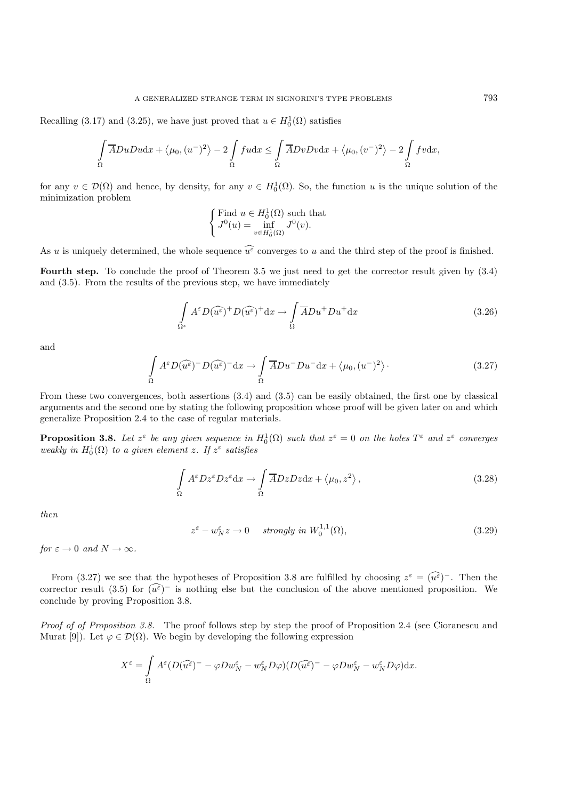Recalling (3.17) and (3.25), we have just proved that  $u \in H_0^1(\Omega)$  satisfies

$$
\int_{\Omega} \overline{A}DuDu\mathrm{d}x + \langle \mu_0, (u^-)^2 \rangle - 2 \int_{\Omega} f u \mathrm{d}x \le \int_{\Omega} \overline{A}DvDv\mathrm{d}x + \langle \mu_0, (v^-)^2 \rangle - 2 \int_{\Omega} f v \mathrm{d}x,
$$

for any  $v \in \mathcal{D}(\Omega)$  and hence, by density, for any  $v \in H_0^1(\Omega)$ . So, the function u is the unique solution of the minimization problem

$$
\begin{cases} \text{Find } u \in H_0^1(\Omega) \text{ such that} \\ J^0(u) = \inf_{v \in H_0^1(\Omega)} J^0(v). \end{cases}
$$

As u is uniquely determined, the whole sequence  $\widehat{u^{\varepsilon}}$  converges to u and the third step of the proof is finished.

Fourth step. To conclude the proof of Theorem 3.5 we just need to get the corrector result given by  $(3.4)$ and (3.5). From the results of the previous step, we have immediately

$$
\int_{\Omega^{\varepsilon}} A^{\varepsilon} D(\widehat{u^{\varepsilon}})^{+} D(\widehat{u^{\varepsilon}})^{+} dx \to \int_{\Omega} \overline{A} D u^{+} D u^{+} dx \tag{3.26}
$$

and

$$
\int_{\Omega} A^{\varepsilon} D(\widehat{u^{\varepsilon}})^{-} D(\widehat{u^{\varepsilon}})^{-} dx \to \int_{\Omega} \overline{A} D u^{-} D u^{-} dx + \langle \mu_{0}, (u^{-})^{2} \rangle.
$$
\n(3.27)

From these two convergences, both assertions (3.4) and (3.5) can be easily obtained, the first one by classical arguments and the second one by stating the following proposition whose proof will be given later on and which generalize Proposition 2.4 to the case of regular materials.

**Proposition 3.8.** Let  $z^{\varepsilon}$  be any given sequence in  $H_0^1(\Omega)$  such that  $z^{\varepsilon} = 0$  on the holes  $T^{\varepsilon}$  and  $z^{\varepsilon}$  converges *weakly in*  $H_0^1(\Omega)$  *to a given element z. If*  $z^{\varepsilon}$  *satisfies* 

$$
\int_{\Omega} A^{\varepsilon} D z^{\varepsilon} D z^{\varepsilon} dx \to \int_{\Omega} \overline{A} D z D z dx + \langle \mu_0, z^2 \rangle, \qquad (3.28)
$$

*then*

$$
z^{\varepsilon} - w_N^{\varepsilon} z \to 0 \quad strongly \ in \ W_0^{1,1}(\Omega), \tag{3.29}
$$

*for*  $\varepsilon \to 0$  *and*  $N \to \infty$ *.* 

From (3.27) we see that the hypotheses of Proposition 3.8 are fulfilled by choosing  $z^{\varepsilon} = (\widehat{u^{\varepsilon}})^{-}$ . Then the corrector result (3.5) for  $(\widehat{u^{\varepsilon}})^-$  is nothing else but the conclusion of the above mentioned proposition. We conclude by proving Proposition 3.8.

*Proof of of Proposition 3.8.* The proof follows step by step the proof of Proposition 2.4 (see Cioranescu and Murat [9]). Let  $\varphi \in \mathcal{D}(\Omega)$ . We begin by developing the following expression

$$
X^{\varepsilon} = \int\limits_{\Omega} A^{\varepsilon} (D(\widehat{u^{\varepsilon}})^{-} - \varphi Dw_N^{\varepsilon} - w_N^{\varepsilon}D\varphi)(D(\widehat{u^{\varepsilon}})^{-} - \varphi Dw_N^{\varepsilon} - w_N^{\varepsilon}D\varphi)dx.
$$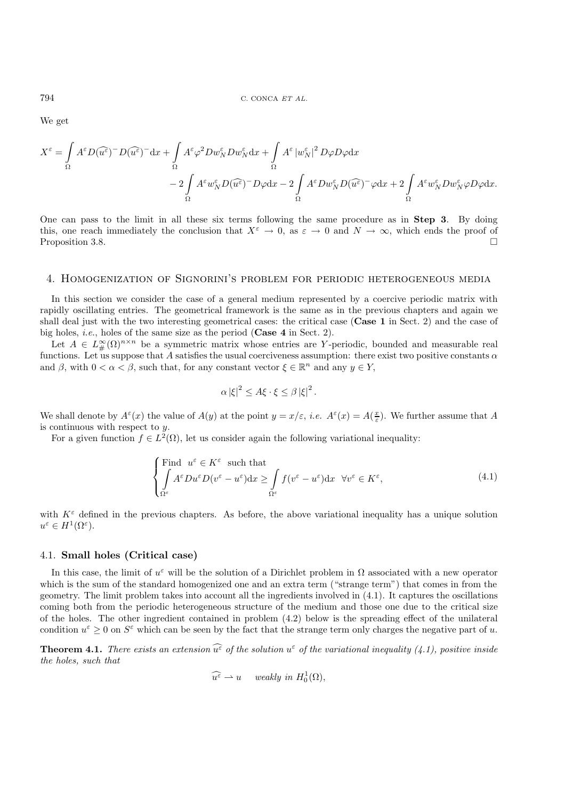We get

$$
X^{\varepsilon} = \int_{\Omega} A^{\varepsilon} D(\widehat{u^{\varepsilon}})^{-} D(\widehat{u^{\varepsilon}})^{-} dx + \int_{\Omega} A^{\varepsilon} \varphi^{2} Dw_{N}^{\varepsilon} Dw_{N}^{\varepsilon} dx + \int_{\Omega} A^{\varepsilon} |w_{N}^{\varepsilon}|^{2} D\varphi D\varphi dx
$$
  

$$
- 2 \int_{\Omega} A^{\varepsilon} w_{N}^{\varepsilon} D(\widehat{u^{\varepsilon}})^{-} D\varphi dx - 2 \int_{\Omega} A^{\varepsilon} Dw_{N}^{\varepsilon} D(\widehat{u^{\varepsilon}})^{-} \varphi dx + 2 \int_{\Omega} A^{\varepsilon} w_{N}^{\varepsilon} Dw_{N}^{\varepsilon} \varphi D\varphi dx.
$$

One can pass to the limit in all these six terms following the same procedure as in **Step 3**. By doing this, one reach immediately the conclusion that  $X^{\varepsilon} \to 0$ , as  $\varepsilon \to 0$  and  $N \to \infty$ , which ends the proof of Proposition 3.8.

### 4. Homogenization of Signorini's problem for periodic heterogeneous media

In this section we consider the case of a general medium represented by a coercive periodic matrix with rapidly oscillating entries. The geometrical framework is the same as in the previous chapters and again we shall deal just with the two interesting geometrical cases: the critical case (**Case 1** in Sect. 2) and the case of big holes, *i.e.*, holes of the same size as the period (**Case 4** in Sect. 2).

Let  $A \in L^{\infty}_{\#}(\Omega)^{n \times n}$  be a symmetric matrix whose entries are Y-periodic, bounded and measurable real functions. Let us suppose that A satisfies the usual coerciveness assumption: there exist two positive constants  $\alpha$ and  $\beta$ , with  $0 < \alpha < \beta$ , such that, for any constant vector  $\xi \in \mathbb{R}^n$  and any  $y \in Y$ ,

$$
\alpha |\xi|^2 \leq A \xi \cdot \xi \leq \beta |\xi|^2.
$$

We shall denote by  $A^{\varepsilon}(x)$  the value of  $A(y)$  at the point  $y = x/\varepsilon$ , *i.e.*  $A^{\varepsilon}(x) = A(\frac{x}{\varepsilon})$ . We further assume that A is continuous with respect to y.

For a given function  $f \in L^2(\Omega)$ , let us consider again the following variational inequality:

$$
\begin{cases}\n\text{Find } u^{\varepsilon} \in K^{\varepsilon} \text{ such that} \\
\int_{\Omega^{\varepsilon}} A^{\varepsilon} Du^{\varepsilon} D(v^{\varepsilon} - u^{\varepsilon}) dx \ge \int_{\Omega^{\varepsilon}} f(v^{\varepsilon} - u^{\varepsilon}) dx \quad \forall v^{\varepsilon} \in K^{\varepsilon},\n\end{cases} (4.1)
$$

with  $K^{\varepsilon}$  defined in the previous chapters. As before, the above variational inequality has a unique solution  $u^{\varepsilon} \in H^1(\Omega^{\varepsilon}).$ 

## 4.1. **Small holes (Critical case)**

In this case, the limit of  $u^{\varepsilon}$  will be the solution of a Dirichlet problem in  $\Omega$  associated with a new operator which is the sum of the standard homogenized one and an extra term ("strange term") that comes in from the geometry. The limit problem takes into account all the ingredients involved in (4.1). It captures the oscillations coming both from the periodic heterogeneous structure of the medium and those one due to the critical size of the holes. The other ingredient contained in problem (4.2) below is the spreading effect of the unilateral condition  $u^{\varepsilon} > 0$  on  $S^{\varepsilon}$  which can be seen by the fact that the strange term only charges the negative part of u.

**Theorem 4.1.** *There exists an extension*  $\widehat{u^{\varepsilon}}$  *of the solution*  $u^{\varepsilon}$  *of the variational inequality* (4.1), positive inside *the holes, such that*

$$
\widehat{u^{\varepsilon}} \rightharpoonup u \quad \text{ weakly in } H_0^1(\Omega),
$$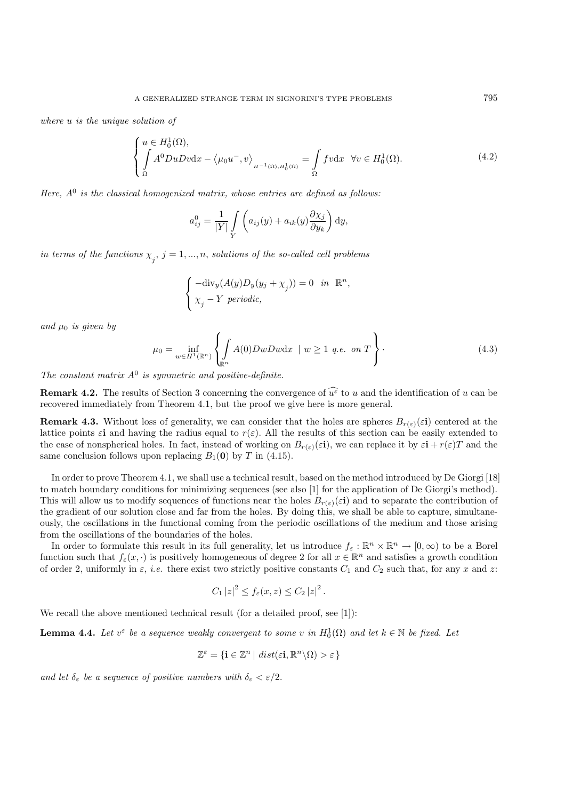*where* u *is the unique solution of*

$$
\begin{cases}\nu \in H_0^1(\Omega), \\
\int \Lambda^0 D u D v \, dx - \langle \mu_0 u^-, v \rangle_{H^{-1}(\Omega), H_0^1(\Omega)} = \int \Omega f v \, dx & \forall v \in H_0^1(\Omega).\n\end{cases} \tag{4.2}
$$

*Here,*  $A^0$  *is the classical homogenized matrix, whose entries are defined as follows:* 

$$
a_{ij}^0 = \frac{1}{|Y|} \int\limits_Y \left( a_{ij}(y) + a_{ik}(y) \frac{\partial \chi_j}{\partial y_k} \right) dy,
$$

 $\hat{p}$  in terms of the functions  $\chi_j$ ,  $j = 1, ..., n$ , solutions of the so-called cell problems

$$
\label{eq:div} \left\{ \begin{aligned} -\mbox{div}_y(A(y)D_y(y_j+\chi_j))&=0 \quad in \quad \mathbb{R}^n,\\ \chi_j-Y \,\, periodic, \end{aligned} \right.
$$

*and*  $\mu_0$  *is given by* 

$$
\mu_0 = \inf_{w \in H^1(\mathbb{R}^n)} \left\{ \int_{\mathbb{R}^n} A(0) DwDw \, \mathrm{d}x \, \mid w \ge 1 \, \text{q.e. on } T \right\}.
$$
\n
$$
(4.3)
$$

*The constant matrix* A<sup>0</sup> *is symmetric and positive-definite.*

**Remark 4.2.** The results of Section 3 concerning the convergence of  $\widehat{u^{\varepsilon}}$  to u and the identification of u can be recovered immediately from Theorem 4.1, but the proof we give here is more general.

**Remark 4.3.** Without loss of generality, we can consider that the holes are spheres  $B_{r(\varepsilon)}(\varepsilon\mathbf{i})$  centered at the lattice points  $\varepsilon$ **i** and having the radius equal to  $r(\varepsilon)$ . All the results of this section can be easily extended to the case of nonspherical holes. In fact, instead of working on  $B_{r(\varepsilon)}(\varepsilon\mathbf{i})$ , we can replace it by  $\varepsilon\mathbf{i} + r(\varepsilon)T$  and the same conclusion follows upon replacing  $B_1(0)$  by T in (4.15).

In order to prove Theorem 4.1, we shall use a technical result, based on the method introduced by De Giorgi [18] to match boundary conditions for minimizing sequences (see also [1] for the application of De Giorgi's method). This will allow us to modify sequences of functions near the holes  $B_{r(\varepsilon)}(\varepsilon\mathbf{i})$  and to separate the contribution of the gradient of our solution close and far from the holes. By doing this, we shall be able to capture, simultaneously, the oscillations in the functional coming from the periodic oscillations of the medium and those arising from the oscillations of the boundaries of the holes.

In order to formulate this result in its full generality, let us introduce  $f_{\varepsilon}: \mathbb{R}^n \times \mathbb{R}^n \to [0, \infty)$  to be a Borel function such that  $f_{\varepsilon}(x, \cdot)$  is positively homogeneous of degree 2 for all  $x \in \mathbb{R}^n$  and satisfies a growth condition of order 2, uniformly in  $\varepsilon$ , *i.e.* there exist two strictly positive constants  $C_1$  and  $C_2$  such that, for any x and z:

$$
C_1 |z|^2 \le f_{\varepsilon}(x, z) \le C_2 |z|^2.
$$

We recall the above mentioned technical result (for a detailed proof, see [1]):

**Lemma 4.4.** Let  $v^{\varepsilon}$  be a sequence weakly convergent to some v in  $H_0^1(\Omega)$  and let  $k \in \mathbb{N}$  be fixed. Let

$$
\mathbb{Z}^{\varepsilon} = \{ \mathbf{i} \in \mathbb{Z}^n \mid dist(\varepsilon \mathbf{i}, \mathbb{R}^n \setminus \Omega) > \varepsilon \}
$$

*and let*  $\delta_{\varepsilon}$  *be a sequence of positive numbers with*  $\delta_{\varepsilon} < \varepsilon/2$ .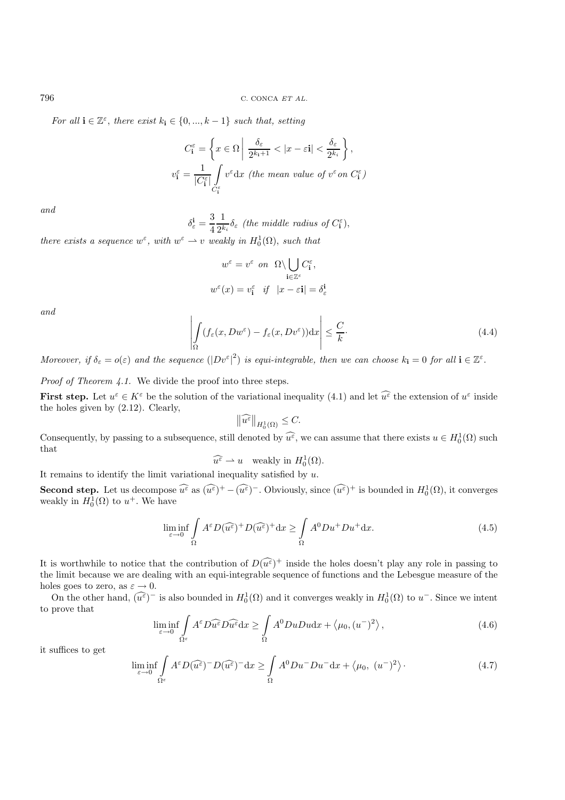*For all*  $\mathbf{i} \in \mathbb{Z}^{\varepsilon}$ , *there exist*  $k_{\mathbf{i}} \in \{0, ..., k-1\}$  *such that, setting* 

$$
C_{\mathbf{i}}^{\varepsilon} = \left\{ x \in \Omega \middle| \frac{\delta_{\varepsilon}}{2^{k_{\mathbf{i}}+1}} < |x - \varepsilon \mathbf{i}| < \frac{\delta_{\varepsilon}}{2^{k_{\mathbf{i}}}} \right\},
$$
\n
$$
v_{\mathbf{i}}^{\varepsilon} = \frac{1}{|C_{\mathbf{i}}^{\varepsilon}|} \int_{C_{\mathbf{i}}^{\varepsilon}} v^{\varepsilon} \, dx \text{ (the mean value of } v^{\varepsilon} \text{ on } C_{\mathbf{i}}^{\varepsilon})
$$

*and*

 $\delta_{\varepsilon}^{\mathbf{i}} = \frac{3}{4}$ 1  $\frac{1}{2^{k_i}}\delta_{\varepsilon}$  (the middle radius of  $C_{\mathbf{i}}^{\varepsilon}$ ),

*there exists a sequence*  $w^{\varepsilon}$ , with  $w^{\varepsilon} \to v$  *weakly in*  $H_0^1(\Omega)$ , *such that* 

$$
w^{\varepsilon} = v^{\varepsilon} \quad on \quad \Omega \setminus \bigcup_{\mathbf{i} \in \mathbb{Z}^{\varepsilon}} C_{\mathbf{i}}^{\varepsilon},
$$

$$
w^{\varepsilon}(x) = v_{\mathbf{i}}^{\varepsilon} \quad \text{if} \quad |x - \varepsilon \mathbf{i}| = \delta_{\varepsilon}^{\mathbf{i}}
$$

*and*

$$
\left| \int_{\Omega} (f_{\varepsilon}(x, Dw^{\varepsilon}) - f_{\varepsilon}(x, Dv^{\varepsilon})) dx \right| \leq \frac{C}{k}.
$$
\n(4.4)

*Moreover, if*  $\delta_{\varepsilon} = o(\varepsilon)$  *and the sequence*  $(|Dv^{\varepsilon}|^2)$  *is equi-integrable, then we can choose*  $k_i = 0$  *for all*  $i \in \mathbb{Z}^{\varepsilon}$ .

*Proof of Theorem 4.1.* We divide the proof into three steps.

**First step.** Let  $u^{\varepsilon} \in K^{\varepsilon}$  be the solution of the variational inequality (4.1) and let  $\widehat{u^{\varepsilon}}$  the extension of  $u^{\varepsilon}$  inside the holes given by (2.12). Clearly,

$$
\left\|\widehat{u^{\varepsilon}}\right\|_{H^1_0(\Omega)} \leq C.
$$

Consequently, by passing to a subsequence, still denoted by  $\widehat{u^{\varepsilon}}$ , we can assume that there exists  $u \in H_0^1(\Omega)$  such that

$$
\widehat{u^{\varepsilon}} \rightharpoonup u \quad \text{weakly in } H_0^1(\Omega).
$$

It remains to identify the limit variational inequality satisfied by  $u$ .

**Second step.** Let us decompose  $\widehat{u^{\varepsilon}}$  as  $(\widehat{u^{\varepsilon}})^+ - (\widehat{u^{\varepsilon}})^-$ . Obviously, since  $(\widehat{u^{\varepsilon}})^+$  is bounded in  $H_0^1(\Omega)$ , it converges weakly in  $H_0^1(\Omega)$  to  $u^+$ . We have

$$
\liminf_{\varepsilon \to 0} \int_{\Omega} A^{\varepsilon} D(\widehat{u^{\varepsilon}})^{+} D(\widehat{u^{\varepsilon}})^{+} dx \ge \int_{\Omega} A^{0} D u^{+} D u^{+} dx. \tag{4.5}
$$

It is worthwhile to notice that the contribution of  $D(\widehat{u^{\varepsilon}})^+$  inside the holes doesn't play any role in passing to the limit because we are dealing with an equi-integrable sequence of functions and the Lebesgue measure of the holes goes to zero, as  $\varepsilon \to 0$ .

On the other hand,  $(\widehat{u^{\varepsilon}})^-$  is also bounded in  $H_0^1(\Omega)$  and it converges weakly in  $H_0^1(\Omega)$  to  $u^-$ . Since we intent to prove that

$$
\liminf_{\varepsilon \to 0} \int_{\Omega^{\varepsilon}} A^{\varepsilon} D \widehat{u^{\varepsilon}} dx \ge \int_{\Omega} A^0 D u D u dx + \langle \mu_0, (u^-)^2 \rangle, \tag{4.6}
$$

it suffices to get

$$
\liminf_{\varepsilon \to 0} \int_{\Omega^{\varepsilon}} A^{\varepsilon} D(\widehat{u^{\varepsilon}})^{-} D(\widehat{u^{\varepsilon}})^{-} dx \ge \int_{\Omega} A^{0} D u^{-} D u^{-} dx + \langle \mu_{0}, (u^{-})^{2} \rangle.
$$
 (4.7)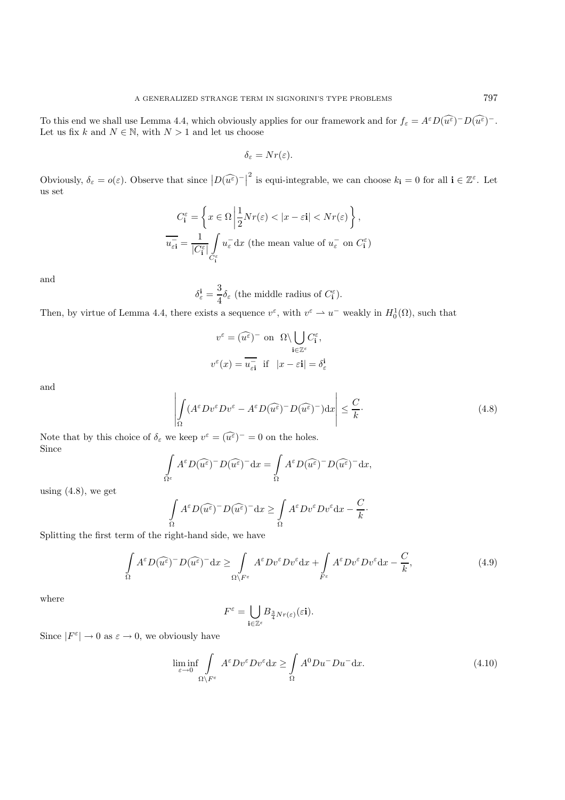To this end we shall use Lemma 4.4, which obviously applies for our framework and for  $f_{\varepsilon} = A^{\varepsilon} D(\widehat{u^{\varepsilon}})$ <sup>-</sup>D $(\widehat{u^{\varepsilon}})^{-} D(\widehat{u^{\varepsilon}})$ <sup>-</sup>. Let us fix k and  $N \in \mathbb{N}$ , with  $N > 1$  and let us choose

$$
\delta_{\varepsilon}=Nr(\varepsilon).
$$

Obviously,  $\delta_{\varepsilon} = o(\varepsilon)$ . Observe that since  $|D(\widehat{u^{\varepsilon}})^{-}|^2$  is equi-integrable, we can choose  $k_{\mathbf{i}} = 0$  for all  $\mathbf{i} \in \mathbb{Z}^{\varepsilon}$ . Let us set

$$
C_i^{\varepsilon} = \left\{ x \in \Omega \, \middle| \, \frac{1}{2} N r(\varepsilon) < |x - \varepsilon i| < N r(\varepsilon) \right\},
$$
\n
$$
\overline{u_{\varepsilon i}^{-}} = \frac{1}{|C_i^{\varepsilon}|} \int_{C_i^{\varepsilon}} u_{\varepsilon}^{-} dx \text{ (the mean value of } u_{\varepsilon}^{-} \text{ on } C_i^{\varepsilon})
$$

and

$$
\delta_{\varepsilon}^{\mathbf{i}} = \frac{3}{4} \delta_{\varepsilon}
$$
 (the middle radius of  $C_{\mathbf{i}}^{\varepsilon}$ ).

Then, by virtue of Lemma 4.4, there exists a sequence  $v^{\varepsilon}$ , with  $v^{\varepsilon} \to u^-$  weakly in  $H_0^1(\Omega)$ , such that

$$
v^{\varepsilon} = (\widehat{u^{\varepsilon}})^{-} \text{ on } \Omega \setminus \bigcup_{\mathbf{i} \in \mathbb{Z}^{\varepsilon}} C_{\mathbf{i}}^{\varepsilon},
$$

$$
v^{\varepsilon}(x) = \overline{u_{\varepsilon \mathbf{i}}} \text{ if } |x - \varepsilon \mathbf{i}| = \delta_{\varepsilon}^{\mathbf{i}}
$$

and

$$
\left| \int_{\Omega} (A^{\varepsilon} D v^{\varepsilon} D v^{\varepsilon} - A^{\varepsilon} D (\widehat{u^{\varepsilon}})^{-} D (\widehat{u^{\varepsilon}})^{-}) dx \right| \leq \frac{C}{k}.
$$
\n(4.8)

Note that by this choice of  $\delta_{\varepsilon}$  we keep  $v^{\varepsilon} = (\widehat{u^{\varepsilon}})^{-} = 0$  on the holes. Since

$$
\int_{\Omega^{\varepsilon}} A^{\varepsilon} D(\widehat{u^{\varepsilon}})^{-} D(\widehat{u^{\varepsilon}})^{-} dx = \int_{\Omega} A^{\varepsilon} D(\widehat{u^{\varepsilon}})^{-} D(\widehat{u^{\varepsilon}})^{-} dx,
$$

using  $(4.8)$ , we get

$$
\int_{\Omega} A^{\varepsilon} D(\widehat{u^{\varepsilon}})^{-} D(\widehat{u^{\varepsilon}})^{-} dx \ge \int_{\Omega} A^{\varepsilon} D v^{\varepsilon} D v^{\varepsilon} dx - \frac{C}{k}.
$$

Splitting the first term of the right-hand side, we have

$$
\int_{\Omega} A^{\varepsilon} D(\widehat{u^{\varepsilon}})^{-} D(\widehat{u^{\varepsilon}})^{-} dx \ge \int_{\Omega \setminus F^{\varepsilon}} A^{\varepsilon} D v^{\varepsilon} D v^{\varepsilon} dx + \int_{F^{\varepsilon}} A^{\varepsilon} D v^{\varepsilon} D v^{\varepsilon} dx - \frac{C}{k},\tag{4.9}
$$

where

$$
F^{\varepsilon} = \bigcup_{\mathbf{i} \in \mathbb{Z}^{\varepsilon}} B_{\frac{3}{4}Nr(\varepsilon)}(\varepsilon \mathbf{i}).
$$

Since  $|F^{\varepsilon}| \to 0$  as  $\varepsilon \to 0$ , we obviously have

$$
\liminf_{\varepsilon \to 0} \int_{\Omega \setminus F^{\varepsilon}} A^{\varepsilon} D v^{\varepsilon} D v^{\varepsilon} dx \ge \int_{\Omega} A^0 D u^- D u^- dx. \tag{4.10}
$$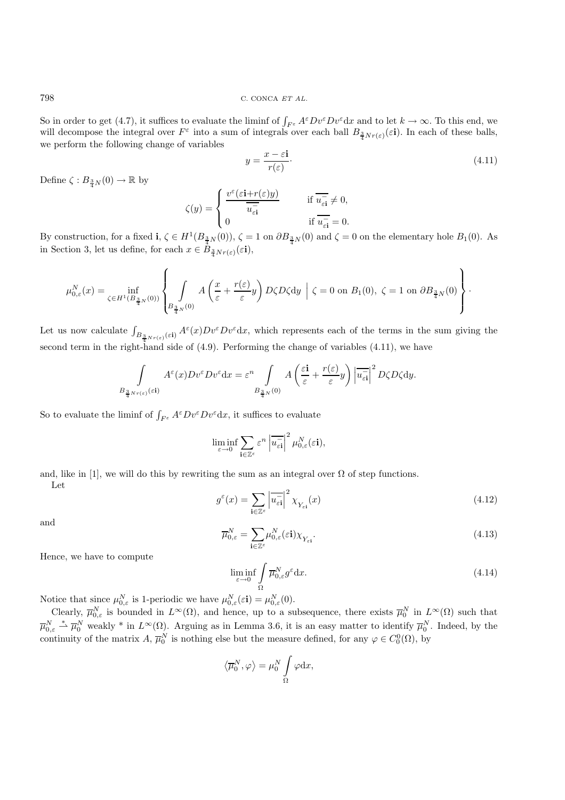798 C. CONCA ET AL.

So in order to get (4.7), it suffices to evaluate the liminf of  $\int_{F^{\varepsilon}} A^{\varepsilon} D v^{\varepsilon} D v^{\varepsilon} dx$  and to let  $k \to \infty$ . To this end, we will decompose the integral over  $F^{\varepsilon}$  into a sum of integrals over each ball  $B_{\frac{3}{4}Nr(\varepsilon)}(\varepsilon\mathbf{i})$ . In each of these balls, we perform the following change of variables

$$
y = \frac{x - \varepsilon \mathbf{i}}{r(\varepsilon)}.\tag{4.11}
$$

Define  $\zeta: B_{\frac{3}{4}N}(0) \to \mathbb{R}$  by

$$
\zeta(y) = \begin{cases} \frac{v^{\varepsilon}(\varepsilon \mathbf{i} + r(\varepsilon)y)}{\overline{u_{\varepsilon \mathbf{i}}}} & \text{if } \overline{u_{\varepsilon \mathbf{i}}} \neq 0, \\ 0 & \text{if } \overline{u_{\varepsilon \mathbf{i}}} = 0. \end{cases}
$$

By construction, for a fixed **i**,  $\zeta \in H^1(B_{\frac{3}{4}N}(0))$ ,  $\zeta = 1$  on  $\partial B_{\frac{3}{4}N}(0)$  and  $\zeta = 0$  on the elementary hole  $B_1(0)$ . As in Section 3, let us define, for each  $x \in B_{\frac{3}{4}Nr(\varepsilon)}(\varepsilon\mathbf{i}),$ 

$$
\mu_{0,\varepsilon}^N(x) = \inf_{\zeta \in H^1(B_{\frac{3}{4}N}(0))} \left\{ \int_{B_{\frac{3}{4}N}(0)} A\left(\frac{x}{\varepsilon} + \frac{r(\varepsilon)}{\varepsilon}y\right) D\zeta D\zeta \mathrm{d}y \; \Big| \; \zeta = 0 \text{ on } B_1(0), \; \zeta = 1 \text{ on } \partial B_{\frac{3}{4}N}(0) \right\}.
$$

Let us now calculate  $\int_{B_{\frac{3}{4}Nr(\varepsilon)}(\varepsilon i)} A^{\varepsilon}(x)Dv^{\varepsilon}Dv^{\varepsilon}dx$ , which represents each of the terms in the sum giving the second term in the right-hand side of (4.9). Performing the change of variables (4.11), we have

$$
\int\limits_{B_{\frac{3}{4}Nr(\varepsilon)}(\varepsilon\mathrm{i})}A^\varepsilon(x)Dv^\varepsilon Dv^\varepsilon\mathrm{d}x = \varepsilon^n\int\limits_{B_{\frac{3}{4}N}(0)}A\left(\frac{\varepsilon\mathrm{i}}{\varepsilon}+\frac{r(\varepsilon)}{\varepsilon}y\right)\left|\overline{u_{\varepsilon\mathrm{i}}} \right|^2D\zeta D\zeta\mathrm{d}y.
$$

So to evaluate the liminf of  $\int_{F^{\varepsilon}} A^{\varepsilon} D v^{\varepsilon} D v^{\varepsilon} dx$ , it suffices to evaluate

$$
\liminf_{\varepsilon \to 0} \sum_{\mathbf{i} \in \mathbb{Z}^{\varepsilon}} \varepsilon^n \left| \overline{u_{\varepsilon \mathbf{i}}} \right|^2 \mu_{0,\varepsilon}^N(\varepsilon \mathbf{i}),
$$

and, like in [1], we will do this by rewriting the sum as an integral over  $\Omega$  of step functions. Let

$$
g^{\varepsilon}(x) = \sum_{\mathbf{i} \in \mathbb{Z}^{\varepsilon}} \left| \overline{u_{\varepsilon \mathbf{i}}} \right|^2 \chi_{Y_{\varepsilon \mathbf{i}}}(x) \tag{4.12}
$$

and

$$
\overline{\mu}_{0,\varepsilon}^N = \sum_{\mathbf{i}\in\mathbb{Z}^\varepsilon} \mu_{0,\varepsilon}^N(\varepsilon \mathbf{i}) \chi_{Y_{\varepsilon\mathbf{i}}}.\tag{4.13}
$$

Hence, we have to compute

$$
\liminf_{\varepsilon \to 0} \int_{\Omega} \overline{\mu}_{0,\varepsilon}^N g^{\varepsilon} dx.
$$
\n(4.14)

Notice that since  $\mu_{0,\varepsilon}^N$  is 1-periodic we have  $\mu_{0,\varepsilon}^N(\varepsilon \mathbf{i}) = \mu_{0,\varepsilon}^N(0)$ .

Clearly,  $\overline{\mu}_{0,\varepsilon}^N$  is bounded in  $L^{\infty}(\Omega)$ , and hence, up to a subsequence, there exists  $\overline{\mu}_0^N$  in  $L^{\infty}(\Omega)$  such that  $\overline{\mu}_{0,\varepsilon}^N \stackrel{*}{\to} \overline{\mu}_0^N$  weakly \* in  $L^\infty(\Omega)$ . Arguing as in Lemma 3.6, it is an easy matter to identify  $\overline{\mu}_0^N$ . Indeed, by the continuity of the matrix  $A, \overline{\mu}_0^N$  is nothing else but the measure defined, for any  $\varphi \in C_0^0(\Omega)$ , by

$$
\left\langle \overline{\mu}_0^N, \varphi \right\rangle = \mu_0^N \int\limits_{\Omega} \varphi \mathrm{d} x,
$$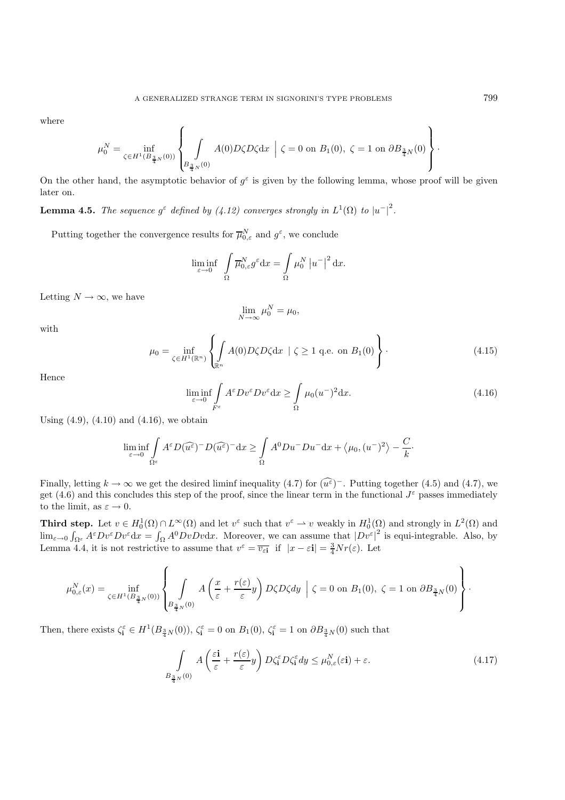where

$$
\mu_0^N=\inf_{\zeta\in H^1(B_{\frac34N}(0))}\left\{\int\limits_{B_{\frac34N}(0)}A(0)D\zeta D\zeta{\rm d} x\ \Big|\ \zeta=0\ {\rm on}\ B_1(0),\ \zeta=1\ {\rm on}\ \partial B_{\frac34N}(0)\right\}.
$$

On the other hand, the asymptotic behavior of  $g^{\varepsilon}$  is given by the following lemma, whose proof will be given later on.

**Lemma 4.5.** *The sequence*  $g^{\varepsilon}$  *defined by (4.12) converges strongly in*  $L^1(\Omega)$  *to*  $|u^{-}|^2$ *.* 

Putting together the convergence results for  $\overline{\mu}_{0,\varepsilon}^N$  and  $g^{\varepsilon}$ , we conclude

$$
\liminf_{\varepsilon \to 0} \int\limits_{\Omega} \overline{\mu}_{0,\varepsilon}^N g^\varepsilon dx = \int\limits_{\Omega} \mu_0^N |u^-|^2 dx.
$$

Letting  $N \to \infty$ , we have

$$
\lim_{N \to \infty} \mu_0^N = \mu_0,
$$

with

$$
\mu_0 = \inf_{\zeta \in H^1(\mathbb{R}^n)} \left\{ \int_{\mathbb{R}^n} A(0) D\zeta D\zeta \mathrm{d}x \mid \zeta \ge 1 \text{ q.e. on } B_1(0) \right\}.
$$
\n(4.15)

Hence

$$
\liminf_{\varepsilon \to 0} \int_{F^{\varepsilon}} A^{\varepsilon} D v^{\varepsilon} D v^{\varepsilon} dx \ge \int_{\Omega} \mu_0(u^-)^2 dx. \tag{4.16}
$$

Using  $(4.9)$ ,  $(4.10)$  and  $(4.16)$ , we obtain

$$
\liminf_{\varepsilon \to 0} \int_{\Omega^{\varepsilon}} A^{\varepsilon} D(\widehat{u^{\varepsilon}})^{-} D(\widehat{u^{\varepsilon}})^{-} dx \ge \int_{\Omega} A^{0} D u^{-} D u^{-} dx + \langle \mu_{0}, (u^{-})^{2} \rangle - \frac{C}{k}.
$$

Finally, letting  $k \to \infty$  we get the desired liminf inequality (4.7) for  $(\widehat{u^{\varepsilon}})^-$ . Putting together (4.5) and (4.7), we get (4.6) and this concludes this step of the proof, since the linear term in the functional  $J^{\varepsilon}$  passes immediately to the limit, as  $\varepsilon \to 0$ .

**Third step.** Let  $v \in H_0^1(\Omega) \cap L^\infty(\Omega)$  and let  $v^\varepsilon$  such that  $v^\varepsilon \to v$  weakly in  $H_0^1(\Omega)$  and strongly in  $L^2(\Omega)$  and  $\lim_{\varepsilon\to 0} \int_{\Omega^{\varepsilon}} A^{\varepsilon} D v^{\varepsilon} D v^{\varepsilon} dx = \int_{\Omega} A^0 D v D v dx$ . Moreover, we can assume that  $|D v^{\varepsilon}|^2$  is equi-integrable. Also, by Lemma 4.4, it is not restrictive to assume that  $v^{\varepsilon} = \overline{v_{\varepsilon i}}$  if  $|x - \varepsilon i| = \frac{3}{4} N r(\varepsilon)$ . Let

$$
\mu_{0,\varepsilon}^N(x)=\inf_{\zeta\in H^1(B_{\frac34N}(0))}\left\{\int\limits_{B_{\frac34N}(0)}A\left(\frac{x}{\varepsilon}+\frac{r(\varepsilon)}{\varepsilon}y\right)D\zeta D\zeta dy\;\left|\;\zeta=0\;\mathrm{on}\;B_1(0),\;\zeta=1\;\mathrm{on}\;\partial B_{\frac34N}(0)\right.\right\}.
$$

Then, there exists  $\zeta_i^{\varepsilon} \in H^1(B_{\frac{3}{4}N}(0))$ ,  $\zeta_i^{\varepsilon} = 0$  on  $B_1(0)$ ,  $\zeta_i^{\varepsilon} = 1$  on  $\partial B_{\frac{3}{4}N}(0)$  such that

$$
\int_{B_{\frac{3}{4}N}(0)} A\left(\frac{\varepsilon \mathbf{i}}{\varepsilon} + \frac{r(\varepsilon)}{\varepsilon}y\right) D\zeta_{\mathbf{i}}^{\varepsilon} D\zeta_{\mathbf{i}}^{\varepsilon} dy \le \mu_{0,\varepsilon}^{N}(\varepsilon \mathbf{i}) + \varepsilon. \tag{4.17}
$$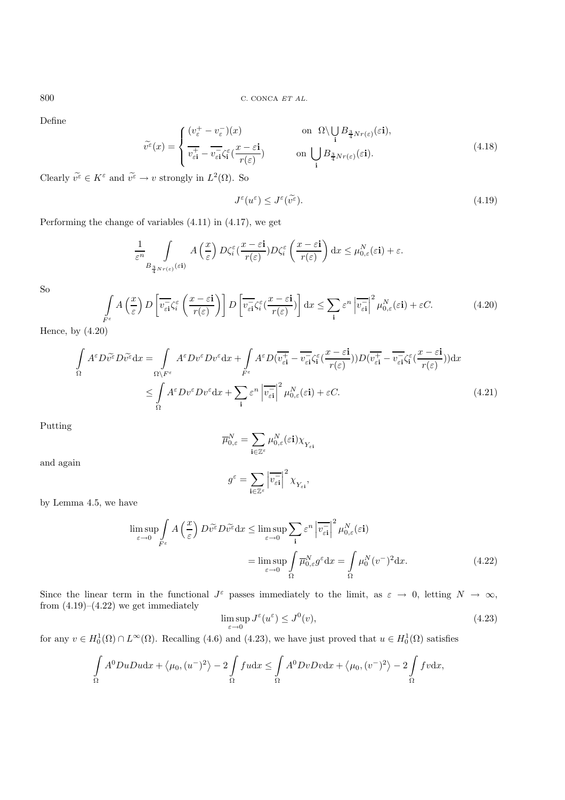Define

$$
\widetilde{v}^{\varepsilon}(x) = \begin{cases}\n(v_{\varepsilon}^{+} - v_{\varepsilon}^{-})(x) & \text{on } \Omega \setminus \bigcup_{\mathbf{i}} B_{\frac{3}{4}Nr(\varepsilon)}(\varepsilon \mathbf{i}), \\
\overline{v_{\varepsilon \mathbf{i}}^{+}} - \overline{v_{\varepsilon \mathbf{i}}} \zeta_{\mathbf{i}}^{\varepsilon}(\frac{x - \varepsilon \mathbf{i}}{r(\varepsilon)}) & \text{on } \bigcup_{\mathbf{i}} B_{\frac{3}{4}Nr(\varepsilon)}(\varepsilon \mathbf{i}).\n\end{cases}
$$
\n(4.18)

Clearly  $\widetilde{v^{\varepsilon}} \in K^{\varepsilon}$  and  $\widetilde{v^{\varepsilon}} \to v$  strongly in  $L^2(\Omega)$ . So

$$
J^{\varepsilon}(u^{\varepsilon}) \le J^{\varepsilon}(\widetilde{v^{\varepsilon}}). \tag{4.19}
$$

Performing the change of variables (4.11) in (4.17), we get

$$
\frac{1}{\varepsilon^n} \int\limits_{B_{\frac{3}{4}Nr(\varepsilon)}(\varepsilon i)} A\left(\frac{x}{\varepsilon}\right) D\zeta_i^{\varepsilon} \left(\frac{x-\varepsilon i}{r(\varepsilon)}\right) D\zeta_i^{\varepsilon} \left(\frac{x-\varepsilon i}{r(\varepsilon)}\right) dx \leq \mu_{0,\varepsilon}^N(\varepsilon i) + \varepsilon.
$$

So

$$
\int_{F^{\varepsilon}} A\left(\frac{x}{\varepsilon}\right) D\left[\overline{v_{\varepsilon i}}\zeta_{i}^{\varepsilon}\left(\frac{x-\varepsilon i}{r(\varepsilon)}\right)\right] D\left[\overline{v_{\varepsilon i}}\zeta_{i}^{\varepsilon}\left(\frac{x-\varepsilon i}{r(\varepsilon)}\right)\right] dx \leq \sum_{i} \varepsilon^{n} \left|\overline{v_{\varepsilon i}}\right|^{2} \mu_{0,\varepsilon}^{N}(\varepsilon i) + \varepsilon C. \tag{4.20}
$$

Hence, by (4.20)

$$
\int_{\Omega} A^{\varepsilon} D \widetilde{v^{\varepsilon}} D \widetilde{v^{\varepsilon}} dx = \int_{\Omega \setminus F^{\varepsilon}} A^{\varepsilon} D v^{\varepsilon} D v^{\varepsilon} dx + \int_{F^{\varepsilon}} A^{\varepsilon} D (\overline{v_{\varepsilon i}^{+}} - \overline{v_{\varepsilon i}} \zeta_{i}^{\varepsilon} (\frac{x - \varepsilon i}{r(\varepsilon)})) D (\overline{v_{\varepsilon i}^{+}} - \overline{v_{\varepsilon i}} \zeta_{i}^{\varepsilon} (\frac{x - \varepsilon i}{r(\varepsilon)})) dx
$$
\n
$$
\leq \int_{\Omega} A^{\varepsilon} D v^{\varepsilon} D v^{\varepsilon} dx + \sum_{i} \varepsilon^{n} |\overline{v_{\varepsilon i}^{+}}|^{2} \mu_{0,\varepsilon}^{N} (\varepsilon i) + \varepsilon C. \tag{4.21}
$$

Putting

and again

$$
\overline{\mu}_{0,\varepsilon}^N = \sum_{\mathbf{i}\in\mathbb{Z}^\varepsilon} \mu_{0,\varepsilon}^N(\varepsilon \mathbf{i}) \chi_{Y_{\varepsilon \mathbf{i}}}
$$

$$
g^\varepsilon = \sum_{\mathbf{i}\in\mathbb{Z}^\varepsilon} \left| \overline{v_{\varepsilon \mathbf{i}}} \right|^2 \chi_{Y_{\varepsilon \mathbf{i}}},
$$

**<sup>i</sup>**∈Z<sup>ε</sup>

by Lemma 4.5, we have

$$
\limsup_{\varepsilon \to 0} \int_{F^{\varepsilon}} A\left(\frac{x}{\varepsilon}\right) D\widetilde{v^{\varepsilon}} D\widetilde{v^{\varepsilon}} dx \le \limsup_{\varepsilon \to 0} \sum_{\mathbf{i}} \varepsilon^{n} \left| \overline{v_{\varepsilon \mathbf{i}}} \right|^{2} \mu_{0,\varepsilon}^{N}(\varepsilon \mathbf{i})
$$
\n
$$
= \limsup_{\varepsilon \to 0} \int_{\Omega} \overline{\mu}_{0,\varepsilon}^{N} g^{\varepsilon} dx = \int_{\Omega} \mu_{0}^{N} (v^{-})^{2} dx. \tag{4.22}
$$

Since the linear term in the functional  $J^{\varepsilon}$  passes immediately to the limit, as  $\varepsilon \to 0$ , letting  $N \to \infty$ , from  $(4.19)$ – $(4.22)$  we get immediately

$$
\limsup_{\varepsilon \to 0} J^{\varepsilon}(u^{\varepsilon}) \leq J^{0}(v),\tag{4.23}
$$

for any  $v \in H_0^1(\Omega) \cap L^{\infty}(\Omega)$ . Recalling (4.6) and (4.23), we have just proved that  $u \in H_0^1(\Omega)$  satisfies

$$
\int_{\Omega} A^{0}DuDu\mathrm{d}x + \langle \mu_{0}, (u^{-})^{2} \rangle - 2 \int_{\Omega} fu\mathrm{d}x \leq \int_{\Omega} A^{0}DvDv\mathrm{d}x + \langle \mu_{0}, (v^{-})^{2} \rangle - 2 \int_{\Omega} fv\mathrm{d}x,
$$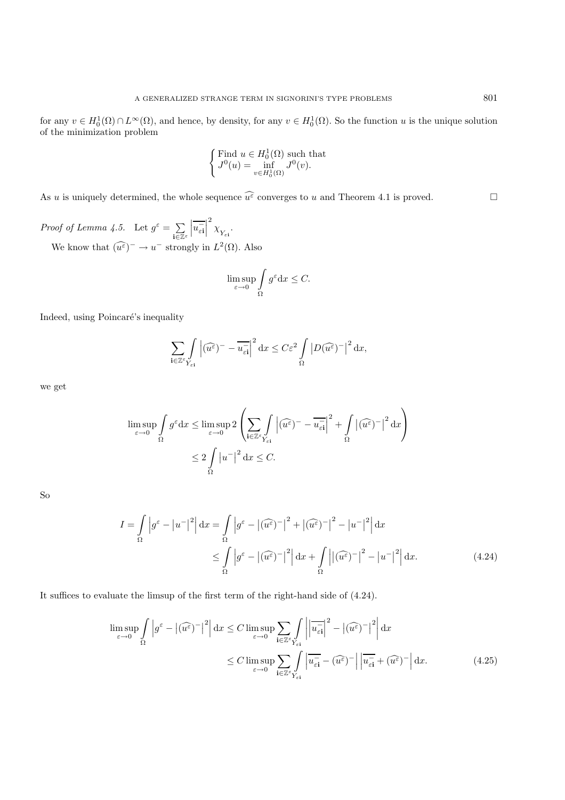for any  $v \in H_0^1(\Omega) \cap L^\infty(\Omega)$ , and hence, by density, for any  $v \in H_0^1(\Omega)$ . So the function u is the unique solution of the minimization problem

$$
\begin{cases} \text{Find } u \in H_0^1(\Omega) \text{ such that} \\ J^0(u) = \inf_{v \in H_0^1(\Omega)} J^0(v). \end{cases}
$$

As u is uniquely determined, the whole sequence  $\widehat{u^{\varepsilon}}$  converges to u and Theorem 4.1 is proved.

*Proof of Lemma 4.5.* Let  $g^{\varepsilon} = \sum$ **<sup>i</sup>**∈Z<sup>ε</sup>  $\overline{u_{\varepsilon\mathbf{i}}^{-}}$ 2<br> $\chi_{Y_{\varepsilon\mathbf{i}}}.$ We know that  $(\widehat{u^{\varepsilon}})^{-} \to u^{-}$  strongly in  $L^{2}(\Omega)$ . Also

$$
\limsup_{\varepsilon \to 0} \int_{\Omega} g^{\varepsilon} dx \le C.
$$

Indeed, using Poincaré's inequality

$$
\sum_{\mathbf{i}\in\mathbb{Z}^{\varepsilon}}\int\limits_{Y_{\varepsilon\mathbf{i}}}\left|\widehat{(u^{\varepsilon})}^{-}-\overline{u_{\varepsilon\mathbf{i}}}^{\mathbf{i}}\right|^{2}\mathrm{d}x \leq C\varepsilon^{2}\int\limits_{\Omega}\left|D(\widehat{u^{\varepsilon}})^{-}\right|^{2}\mathrm{d}x,
$$

we get

$$
\limsup_{\varepsilon \to 0} \int_{\Omega} g^{\varepsilon} dx \le \limsup_{\varepsilon \to 0} 2 \left( \sum_{\mathbf{i} \in \mathbb{Z}^{\varepsilon}} \int_{Y_{\varepsilon\mathbf{i}}} |\widehat{(u^{\varepsilon})} - \overline{u_{\varepsilon\mathbf{i}}} |^2 + \int_{\Omega} |(\widehat{u^{\varepsilon}})^{-}|^2 dx \right)
$$
  

$$
\le 2 \int_{\Omega} |u^{-}|^2 dx \le C.
$$

So

$$
I = \int_{\Omega} \left| g^{\varepsilon} - \left| u^{-} \right|^{2} \right| dx = \int_{\Omega} \left| g^{\varepsilon} - \left| (\widehat{u^{\varepsilon}})^{-} \right|^{2} + \left| (\widehat{u^{\varepsilon}})^{-} \right|^{2} - \left| u^{-} \right|^{2} \right| dx
$$
  

$$
\leq \int_{\Omega} \left| g^{\varepsilon} - \left| (\widehat{u^{\varepsilon}})^{-} \right|^{2} \right| dx + \int_{\Omega} \left| |(\widehat{u^{\varepsilon}})^{-} \right|^{2} - \left| u^{-} \right|^{2} \right| dx.
$$
 (4.24)

It suffices to evaluate the limsup of the first term of the right-hand side of (4.24).

$$
\limsup_{\varepsilon \to 0} \int_{\Omega} \left| g^{\varepsilon} - \left| (\widehat{u^{\varepsilon}})^{-} \right|^{2} \right| dx \le C \limsup_{\varepsilon \to 0} \sum_{\mathbf{i} \in \mathbb{Z}^{\varepsilon}} \int_{Y_{\varepsilon\mathbf{i}}} \left| \left| \overline{u_{\varepsilon\mathbf{i}}} \right|^{2} - \left| (\widehat{u^{\varepsilon}})^{-} \right|^{2} \right| dx
$$
\n
$$
\le C \limsup_{\varepsilon \to 0} \sum_{\mathbf{i} \in \mathbb{Z}^{\varepsilon}} \int_{Y_{\varepsilon\mathbf{i}}} \left| \overline{u_{\varepsilon\mathbf{i}}} - (\widehat{u^{\varepsilon}})^{-} \right| \left| \overline{u_{\varepsilon\mathbf{i}}} + (\widehat{u^{\varepsilon}})^{-} \right| dx. \tag{4.25}
$$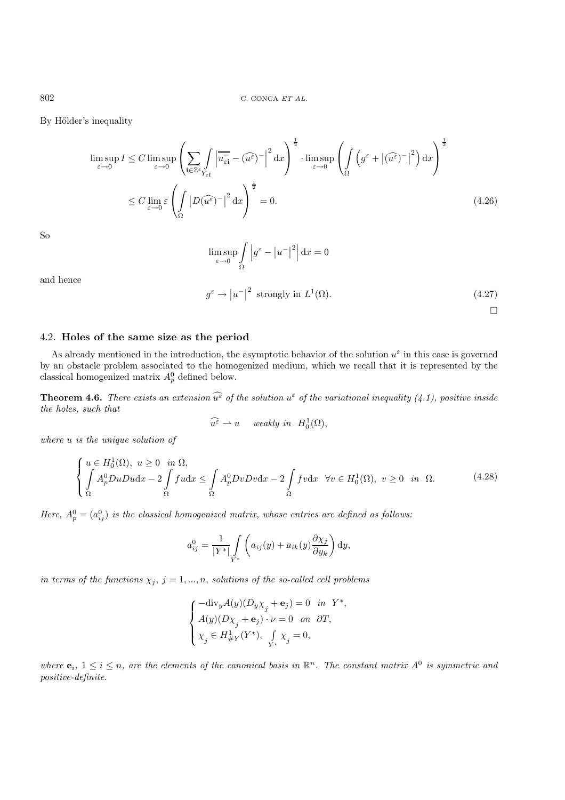By Hölder's inequality

$$
\limsup_{\varepsilon \to 0} I \le C \limsup_{\varepsilon \to 0} \left( \sum_{\mathbf{i} \in \mathbb{Z}^{\varepsilon}} \int_{Y_{\varepsilon \mathbf{i}}} \left| \overline{u_{\varepsilon \mathbf{i}}} - (\widehat{u^{\varepsilon}})^{-} \right|^{2} dx \right)^{\frac{1}{2}} \cdot \limsup_{\varepsilon \to 0} \left( \int_{\Omega} \left( g^{\varepsilon} + |(\widehat{u^{\varepsilon}})^{-} \right|^{2} dx \right)^{\frac{1}{2}}
$$

$$
\le C \lim_{\varepsilon \to 0} \varepsilon \left( \int_{\Omega} \left| D(\widehat{u^{\varepsilon}})^{-} \right|^{2} dx \right)^{\frac{1}{2}} = 0. \tag{4.26}
$$

So

$$
\limsup_{\varepsilon \to 0} \int_{\Omega} \left| g^{\varepsilon} - \left| u^{-} \right|^{2} \right| dx = 0
$$

and hence

$$
g^{\varepsilon} \to |u^{-}|^{2} \text{ strongly in } L^{1}(\Omega). \tag{4.27}
$$

 $\Box$ 

# 4.2. **Holes of the same size as the period**

As already mentioned in the introduction, the asymptotic behavior of the solution  $u^{\varepsilon}$  in this case is governed by an obstacle problem associated to the homogenized medium, which we recall that it is represented by the classical homogenized matrix  $A_p^0$  defined below.

**Theorem 4.6.** *There exists an extension*  $\widehat{u^{\varepsilon}}$  *of the solution*  $u^{\varepsilon}$  *of the variational inequality* (4.1), positive inside *the holes, such that*

$$
\widehat{u^{\varepsilon}} \rightharpoonup u \quad weakly \ in \ \ H_0^1(\Omega),
$$

*where* u *is the unique solution of*

$$
\begin{cases}\n u \in H_0^1(\Omega), \ u \ge 0 & \text{in } \Omega, \\
 \int_A A_p^0 D u D u \, dx - 2 \int_A f u \, dx \le \int_A A_p^0 D v D v \, dx - 2 \int_A f v \, dx & \forall v \in H_0^1(\Omega), \ v \ge 0 & \text{in } \Omega.\n\end{cases} \tag{4.28}
$$

*Here,*  $A_p^0 = (a_{ij}^0)$  *is the classical homogenized matrix, whose entries are defined as follows:* 

$$
a_{ij}^0 = \frac{1}{|Y^*|} \int_{Y^*} \left( a_{ij}(y) + a_{ik}(y) \frac{\partial \chi_j}{\partial y_k} \right) dy,
$$

*in terms of the functions*  $\chi_j$ ,  $j = 1, ..., n$ , *solutions of the so-called cell problems* 

$$
\label{eq:2} \left\{ \begin{aligned} -\hbox{div}_y A(y) (D_y \chi_j + \mathbf{e}_j) &= 0 \quad &\mbox{in}\quad Y^*,\\ A(y) (D \chi_j + \mathbf{e}_j) \cdot \nu &= 0 \quad &\mbox{on}\quad \partial T,\\ \chi_j &\in H^1_{\# Y}(Y^{\star}), \quad &\int\limits_{Y^{\star}} \chi_j = 0, \end{aligned} \right.
$$

*where*  $e_i$ ,  $1 \leq i \leq n$ , are the elements of the canonical basis in  $\mathbb{R}^n$ . The constant matrix  $A^0$  is symmetric and *positive-definite.*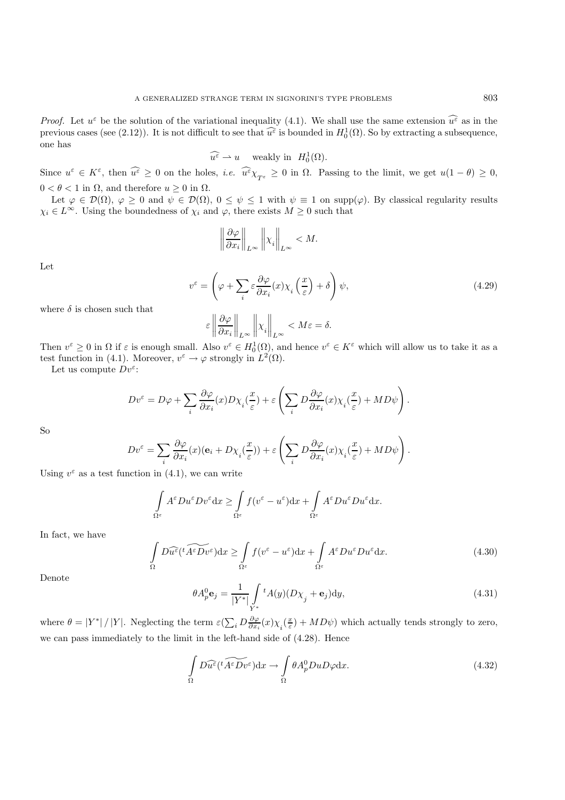*Proof.* Let  $u^{\varepsilon}$  be the solution of the variational inequality (4.1). We shall use the same extension  $\widehat{u^{\varepsilon}}$  as in the previous cases (see (2.12)). It is not difficult to see that  $\widehat{u^{\varepsilon}}$  is bounded in  $H_0^1(\Omega)$ . So by extracting a subsequence, one has

$$
\widehat{u^{\varepsilon}} \rightharpoonup u \quad \text{weakly in} \ \ H_0^1(\Omega).
$$

Since  $u^{\varepsilon} \in K^{\varepsilon}$ , then  $\widehat{u^{\varepsilon}} \geq 0$  on the holes, *i.e.*  $\widehat{u^{\varepsilon}} \chi_{T^{\varepsilon}} \geq 0$  in  $\Omega$ . Passing to the limit, we get  $u(1 - \theta) \geq 0$ ,  $0 < \theta < 1$  in  $\Omega$ , and therefore  $u \geq 0$  in  $\Omega$ .

Let  $\varphi \in \mathcal{D}(\Omega)$ ,  $\varphi \geq 0$  and  $\psi \in \mathcal{D}(\Omega)$ ,  $0 \leq \psi \leq 1$  with  $\psi \equiv 1$  on supp( $\varphi$ ). By classical regularity results  $\chi_i \in L^{\infty}$ . Using the boundedness of  $\chi_i$  and  $\varphi$ , there exists  $M \geq 0$  such that

$$
\left\|\frac{\partial\varphi}{\partial x_i}\right\|_{L^\infty}\left\|x_i\right\|_{L^\infty} < M.
$$

Let

$$
v^{\varepsilon} = \left(\varphi + \sum_{i} \varepsilon \frac{\partial \varphi}{\partial x_{i}}(x) \chi_{i}\left(\frac{x}{\varepsilon}\right) + \delta\right) \psi,
$$
\n(4.29)

where  $\delta$  is chosen such that

$$
\varepsilon \left\|\frac{\partial \varphi}{\partial x_i}\right\|_{L^\infty} \left\|\chi_i\right\|_{L^\infty} < M \varepsilon = \delta.
$$

Then  $v^{\varepsilon} \geq 0$  in  $\Omega$  if  $\varepsilon$  is enough small. Also  $v^{\varepsilon} \in H_0^1(\Omega)$ , and hence  $v^{\varepsilon} \in K^{\varepsilon}$  which will allow us to take it as a test function in (4.1). Moreover,  $v^{\varepsilon} \to \varphi$  strongly in  $L^2(\Omega)$ .

Let us compute  $Dv^{\varepsilon}$ :

$$
Dv^{\varepsilon} = D\varphi + \sum_{i} \frac{\partial \varphi}{\partial x_{i}}(x) D\chi_{i}(\frac{x}{\varepsilon}) + \varepsilon \left( \sum_{i} D \frac{\partial \varphi}{\partial x_{i}}(x) \chi_{i}(\frac{x}{\varepsilon}) + MD\psi \right).
$$

So

$$
Dv^{\varepsilon} = \sum_{i} \frac{\partial \varphi}{\partial x_i}(x)(\mathbf{e}_i + D\chi_i(\frac{x}{\varepsilon})) + \varepsilon \left( \sum_{i} D\frac{\partial \varphi}{\partial x_i}(x)\chi_i(\frac{x}{\varepsilon}) + MD\psi \right).
$$

Using  $v^{\varepsilon}$  as a test function in (4.1), we can write

$$
\int_{\Omega^{\varepsilon}} A^{\varepsilon} D u^{\varepsilon} D v^{\varepsilon} dx \geq \int_{\Omega^{\varepsilon}} f(v^{\varepsilon} - u^{\varepsilon}) dx + \int_{\Omega^{\varepsilon}} A^{\varepsilon} D u^{\varepsilon} D u^{\varepsilon} dx.
$$

In fact, we have

$$
\int_{\Omega} D\widehat{u^{\varepsilon}}(t\widetilde{A^{\varepsilon}Dv^{\varepsilon}})dx \ge \int_{\Omega^{\varepsilon}} f(v^{\varepsilon} - u^{\varepsilon})dx + \int_{\Omega^{\varepsilon}} A^{\varepsilon}Du^{\varepsilon}Du^{\varepsilon}dx. \tag{4.30}
$$

Denote

$$
\theta A_p^0 \mathbf{e}_j = \frac{1}{|Y^*|} \int_{Y^*} {}^t A(y) (D\chi_j + \mathbf{e}_j) dy,\tag{4.31}
$$

where  $\theta = |Y^*| / |Y|$ . Neglecting the term  $\varepsilon(\sum_i D \frac{\partial \varphi}{\partial x_i}(x) \chi_i(\frac{x}{\varepsilon}) + MD\psi)$  which actually tends strongly to zero, we can pass immediately to the limit in the left-hand side of (4.28). Hence

$$
\int_{\Omega} D\widehat{u^{\varepsilon}}(t\widetilde{A^{\varepsilon}Dv^{\varepsilon}})dx \to \int_{\Omega} \theta A_p^0 D u D\varphi dx.
$$
\n(4.32)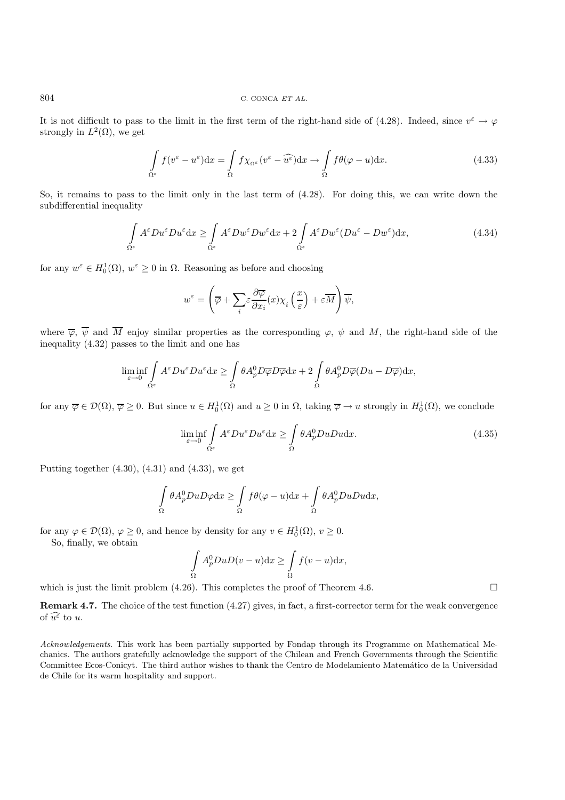It is not difficult to pass to the limit in the first term of the right-hand side of (4.28). Indeed, since  $v^{\varepsilon} \to \varphi$ strongly in  $L^2(\Omega)$ , we get

$$
\int_{\Omega^{\varepsilon}} f(v^{\varepsilon} - u^{\varepsilon}) dx = \int_{\Omega} f \chi_{\Omega^{\varepsilon}} (v^{\varepsilon} - \widehat{u^{\varepsilon}}) dx \to \int_{\Omega} f \theta(\varphi - u) dx.
$$
\n(4.33)

So, it remains to pass to the limit only in the last term of (4.28). For doing this, we can write down the subdifferential inequality

$$
\int_{\Omega^{\varepsilon}} A^{\varepsilon} D u^{\varepsilon} D u^{\varepsilon} dx \ge \int_{\Omega^{\varepsilon}} A^{\varepsilon} D w^{\varepsilon} D w^{\varepsilon} dx + 2 \int_{\Omega^{\varepsilon}} A^{\varepsilon} D w^{\varepsilon} (D u^{\varepsilon} - D w^{\varepsilon}) dx,
$$
\n(4.34)

for any  $w^{\varepsilon} \in H_0^1(\Omega)$ ,  $w^{\varepsilon} \ge 0$  in  $\Omega$ . Reasoning as before and choosing

$$
w^{\varepsilon} = \left(\overline{\varphi} + \sum_{i} \varepsilon \frac{\partial \overline{\varphi}}{\partial x_{i}}(x) \chi_{i}\left(\frac{x}{\varepsilon}\right) + \varepsilon \overline{M}\right) \overline{\psi},
$$

where  $\overline{\varphi}$ ,  $\overline{\psi}$  and  $\overline{M}$  enjoy similar properties as the corresponding  $\varphi$ ,  $\psi$  and  $M$ , the right-hand side of the inequality (4.32) passes to the limit and one has

$$
\liminf_{\varepsilon \to 0} \int_{\Omega^{\varepsilon}} A^{\varepsilon} D u^{\varepsilon} D u^{\varepsilon} dx \ge \int_{\Omega} \theta A_p^0 D \overline{\varphi} D \overline{\varphi} dx + 2 \int_{\Omega} \theta A_p^0 D \overline{\varphi} (Du - D \overline{\varphi}) dx,
$$

for any  $\overline{\varphi} \in \mathcal{D}(\Omega)$ ,  $\overline{\varphi} \ge 0$ . But since  $u \in H_0^1(\Omega)$  and  $u \ge 0$  in  $\Omega$ , taking  $\overline{\varphi} \to u$  strongly in  $H_0^1(\Omega)$ , we conclude

$$
\liminf_{\varepsilon \to 0} \int_{\Omega^{\varepsilon}} A^{\varepsilon} D u^{\varepsilon} D u^{\varepsilon} dx \ge \int_{\Omega} \theta A_p^0 D u D u dx. \tag{4.35}
$$

Putting together  $(4.30)$ ,  $(4.31)$  and  $(4.33)$ , we get

$$
\int_{\Omega} \theta A_p^0 D u D\varphi dx \ge \int_{\Omega} f \theta(\varphi - u) dx + \int_{\Omega} \theta A_p^0 D u D u dx,
$$

for any  $\varphi \in \mathcal{D}(\Omega)$ ,  $\varphi \geq 0$ , and hence by density for any  $v \in H_0^1(\Omega)$ ,  $v \geq 0$ .

So, finally, we obtain

$$
\int_{\Omega} A_p^0 D u D(v - u) \mathrm{d}x \ge \int_{\Omega} f(v - u) \mathrm{d}x,
$$

which is just the limit problem  $(4.26)$ . This completes the proof of Theorem 4.6.

**Remark 4.7.** The choice of the test function (4.27) gives, in fact, a first-corrector term for the weak convergence of  $\widehat{u^{\varepsilon}}$  to u.

Acknowledgements. This work has been partially supported by Fondap through its Programme on Mathematical Mechanics. The authors gratefully acknowledge the support of the Chilean and French Governments through the Scientific Committee Ecos-Conicyt. The third author wishes to thank the Centro de Modelamiento Matem´atico de la Universidad de Chile for its warm hospitality and support.